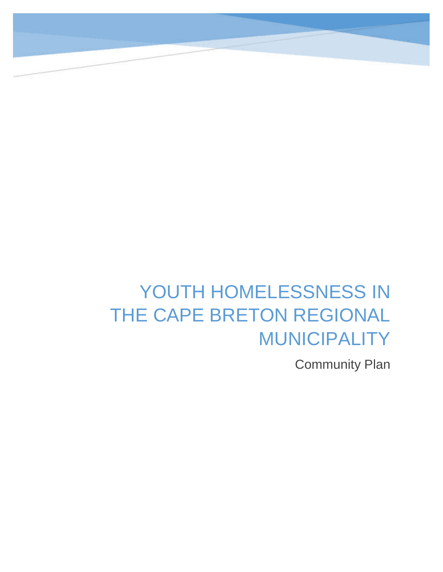# YOUTH HOMELESSNESS IN THE CAPE BRETON REGIONAL MUNICIPALITY

Community Plan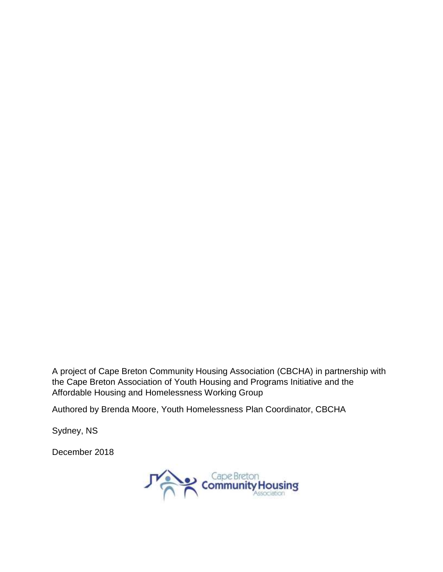A project of Cape Breton Community Housing Association (CBCHA) in partnership with the Cape Breton Association of Youth Housing and Programs Initiative and the Affordable Housing and Homelessness Working Group

Authored by Brenda Moore, Youth Homelessness Plan Coordinator, CBCHA

Sydney, NS

December 2018

Cape Breton<br>Community Housing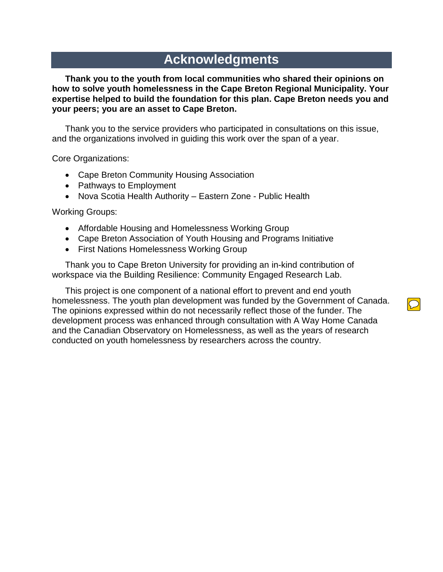### **Acknowledgments**

**Thank you to the youth from local communities who shared their opinions on how to solve youth homelessness in the Cape Breton Regional Municipality. Your expertise helped to build the foundation for this plan. Cape Breton needs you and your peers; you are an asset to Cape Breton.**

Thank you to the service providers who participated in consultations on this issue, and the organizations involved in guiding this work over the span of a year.

Core Organizations:

- Cape Breton Community Housing Association
- Pathways to Employment
- Nova Scotia Health Authority Eastern Zone Public Health

Working Groups:

- Affordable Housing and Homelessness Working Group
- Cape Breton Association of Youth Housing and Programs Initiative
- First Nations Homelessness Working Group

Thank you to Cape Breton University for providing an in-kind contribution of workspace via the Building Resilience: Community Engaged Research Lab.

This project is one component of a national effort to prevent and end youth homelessness. The youth plan development was funded by the Government of Canada. The opinions expressed within do not necessarily reflect those of the funder. The development process was enhanced through consultation with A Way Home Canada and the Canadian Observatory on Homelessness, as well as the years of research conducted on youth homelessness by researchers across the country.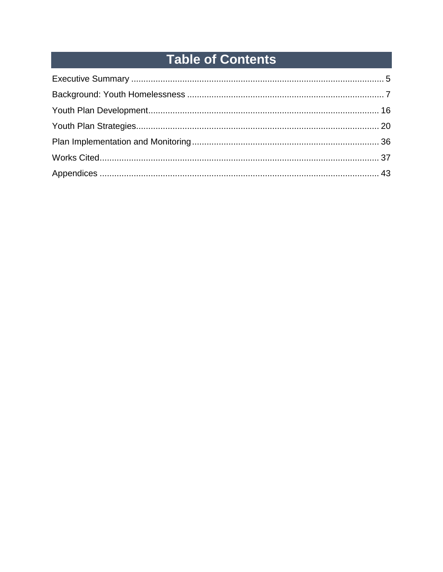## **Table of Contents**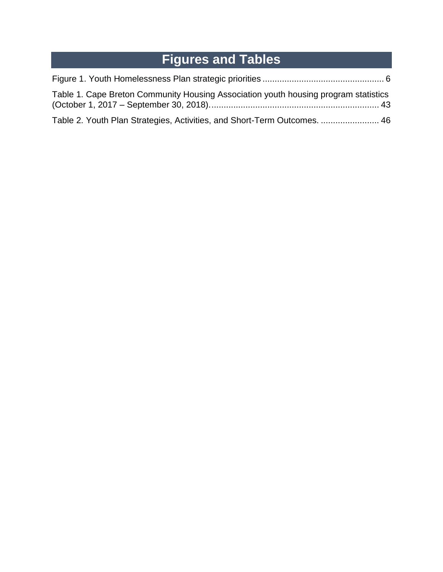## **Figures and Tables**

| Table 1. Cape Breton Community Housing Association youth housing program statistics |  |
|-------------------------------------------------------------------------------------|--|
| Table 2. Youth Plan Strategies, Activities, and Short-Term Outcomes.  46            |  |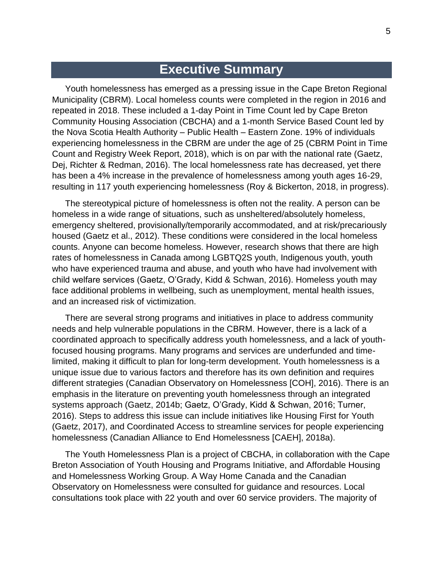### **Executive Summary**

Youth homelessness has emerged as a pressing issue in the Cape Breton Regional Municipality (CBRM). Local homeless counts were completed in the region in 2016 and repeated in 2018. These included a 1-day Point in Time Count led by Cape Breton Community Housing Association (CBCHA) and a 1-month Service Based Count led by the Nova Scotia Health Authority – Public Health – Eastern Zone. 19% of individuals experiencing homelessness in the CBRM are under the age of 25 (CBRM Point in Time Count and Registry Week Report, 2018), which is on par with the national rate (Gaetz, Dej, Richter & Redman, 2016). The local homelessness rate has decreased, yet there has been a 4% increase in the prevalence of homelessness among youth ages 16-29, resulting in 117 youth experiencing homelessness (Roy & Bickerton, 2018, in progress).

The stereotypical picture of homelessness is often not the reality. A person can be homeless in a wide range of situations, such as unsheltered/absolutely homeless, emergency sheltered, provisionally/temporarily accommodated, and at risk/precariously housed (Gaetz et al., 2012). These conditions were considered in the local homeless counts. Anyone can become homeless. However, research shows that there are high rates of homelessness in Canada among LGBTQ2S youth, Indigenous youth, youth who have experienced trauma and abuse, and youth who have had involvement with child welfare services (Gaetz, O'Grady, Kidd & Schwan, 2016). Homeless youth may face additional problems in wellbeing, such as unemployment, mental health issues, and an increased risk of victimization.

There are several strong programs and initiatives in place to address community needs and help vulnerable populations in the CBRM. However, there is a lack of a coordinated approach to specifically address youth homelessness, and a lack of youthfocused housing programs. Many programs and services are underfunded and timelimited, making it difficult to plan for long-term development. Youth homelessness is a unique issue due to various factors and therefore has its own definition and requires different strategies (Canadian Observatory on Homelessness [COH], 2016). There is an emphasis in the literature on preventing youth homelessness through an integrated systems approach (Gaetz, 2014b; Gaetz, O'Grady, Kidd & Schwan, 2016; Turner, 2016). Steps to address this issue can include initiatives like Housing First for Youth (Gaetz, 2017), and Coordinated Access to streamline services for people experiencing homelessness (Canadian Alliance to End Homelessness [CAEH], 2018a).

The Youth Homelessness Plan is a project of CBCHA, in collaboration with the Cape Breton Association of Youth Housing and Programs Initiative, and Affordable Housing and Homelessness Working Group. A Way Home Canada and the Canadian Observatory on Homelessness were consulted for guidance and resources. Local consultations took place with 22 youth and over 60 service providers. The majority of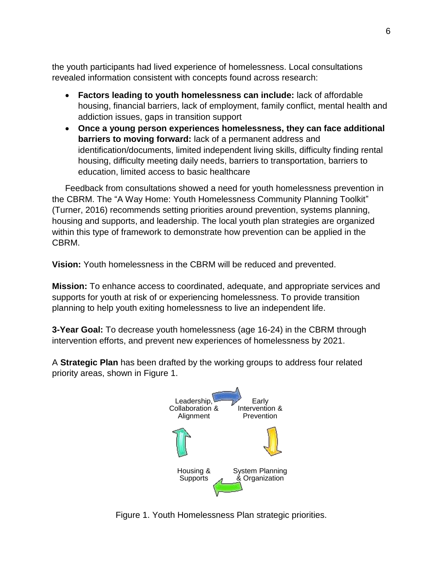the youth participants had lived experience of homelessness. Local consultations revealed information consistent with concepts found across research:

- **Factors leading to youth homelessness can include:** lack of affordable housing, financial barriers, lack of employment, family conflict, mental health and addiction issues, gaps in transition support
- **Once a young person experiences homelessness, they can face additional barriers to moving forward:** lack of a permanent address and identification/documents, limited independent living skills, difficulty finding rental housing, difficulty meeting daily needs, barriers to transportation, barriers to education, limited access to basic healthcare

Feedback from consultations showed a need for youth homelessness prevention in the CBRM. The "A Way Home: Youth Homelessness Community Planning Toolkit" (Turner, 2016) recommends setting priorities around prevention, systems planning, housing and supports, and leadership. The local youth plan strategies are organized within this type of framework to demonstrate how prevention can be applied in the CBRM.

**Vision:** Youth homelessness in the CBRM will be reduced and prevented.

**Mission:** To enhance access to coordinated, adequate, and appropriate services and supports for youth at risk of or experiencing homelessness. To provide transition planning to help youth exiting homelessness to live an independent life.

**3-Year Goal:** To decrease youth homelessness (age 16-24) in the CBRM through intervention efforts, and prevent new experiences of homelessness by 2021.

A **Strategic Plan** has been drafted by the working groups to address four related priority areas, shown in Figure 1.



Figure 1. Youth Homelessness Plan strategic priorities.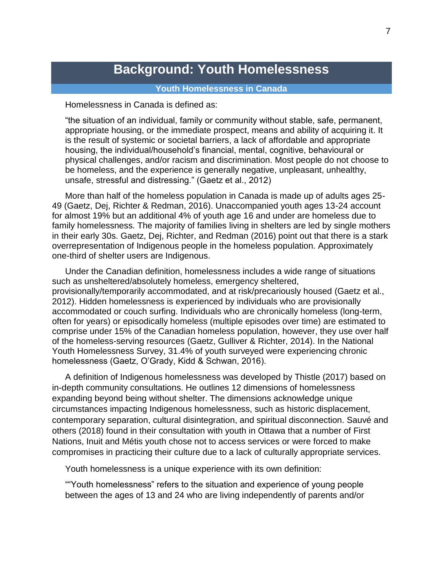### **Background: Youth Homelessness**

#### **Youth Homelessness in Canada**

Homelessness in Canada is defined as:

"the situation of an individual, family or community without stable, safe, permanent, appropriate housing, or the immediate prospect, means and ability of acquiring it. It is the result of systemic or societal barriers, a lack of affordable and appropriate housing, the individual/household's financial, mental, cognitive, behavioural or physical challenges, and/or racism and discrimination. Most people do not choose to be homeless, and the experience is generally negative, unpleasant, unhealthy, unsafe, stressful and distressing." (Gaetz et al., 2012)

More than half of the homeless population in Canada is made up of adults ages 25- 49 (Gaetz, Dej, Richter & Redman, 2016). Unaccompanied youth ages 13-24 account for almost 19% but an additional 4% of youth age 16 and under are homeless due to family homelessness. The majority of families living in shelters are led by single mothers in their early 30s. Gaetz, Dej, Richter, and Redman (2016) point out that there is a stark overrepresentation of Indigenous people in the homeless population. Approximately one-third of shelter users are Indigenous.

Under the Canadian definition, homelessness includes a wide range of situations such as unsheltered/absolutely homeless, emergency sheltered, provisionally/temporarily accommodated, and at risk/precariously housed (Gaetz et al., 2012). Hidden homelessness is experienced by individuals who are provisionally accommodated or couch surfing. Individuals who are chronically homeless (long-term, often for years) or episodically homeless (multiple episodes over time) are estimated to comprise under 15% of the Canadian homeless population, however, they use over half of the homeless-serving resources (Gaetz, Gulliver & Richter, 2014). In the National Youth Homelessness Survey, 31.4% of youth surveyed were experiencing chronic homelessness (Gaetz, O'Grady, Kidd & Schwan, 2016).

A definition of Indigenous homelessness was developed by Thistle (2017) based on in-depth community consultations. He outlines 12 dimensions of homelessness expanding beyond being without shelter. The dimensions acknowledge unique circumstances impacting Indigenous homelessness, such as historic displacement, contemporary separation, cultural disintegration, and spiritual disconnection. Sauvé and others (2018) found in their consultation with youth in Ottawa that a number of First Nations, Inuit and Métis youth chose not to access services or were forced to make compromises in practicing their culture due to a lack of culturally appropriate services.

Youth homelessness is a unique experience with its own definition:

""Youth homelessness" refers to the situation and experience of young people between the ages of 13 and 24 who are living independently of parents and/or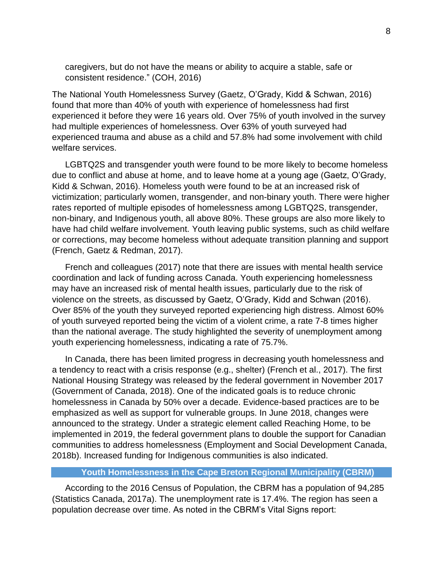caregivers, but do not have the means or ability to acquire a stable, safe or consistent residence." (COH, 2016)

The National Youth Homelessness Survey (Gaetz, O'Grady, Kidd & Schwan, 2016) found that more than 40% of youth with experience of homelessness had first experienced it before they were 16 years old. Over 75% of youth involved in the survey had multiple experiences of homelessness. Over 63% of youth surveyed had experienced trauma and abuse as a child and 57.8% had some involvement with child welfare services.

LGBTQ2S and transgender youth were found to be more likely to become homeless due to conflict and abuse at home, and to leave home at a young age (Gaetz, O'Grady, Kidd & Schwan, 2016). Homeless youth were found to be at an increased risk of victimization; particularly women, transgender, and non-binary youth. There were higher rates reported of multiple episodes of homelessness among LGBTQ2S, transgender, non-binary, and Indigenous youth, all above 80%. These groups are also more likely to have had child welfare involvement. Youth leaving public systems, such as child welfare or corrections, may become homeless without adequate transition planning and support (French, Gaetz & Redman, 2017).

French and colleagues (2017) note that there are issues with mental health service coordination and lack of funding across Canada. Youth experiencing homelessness may have an increased risk of mental health issues, particularly due to the risk of violence on the streets, as discussed by Gaetz, O'Grady, Kidd and Schwan (2016). Over 85% of the youth they surveyed reported experiencing high distress. Almost 60% of youth surveyed reported being the victim of a violent crime, a rate 7-8 times higher than the national average. The study highlighted the severity of unemployment among youth experiencing homelessness, indicating a rate of 75.7%.

In Canada, there has been limited progress in decreasing youth homelessness and a tendency to react with a crisis response (e.g., shelter) (French et al., 2017). The first National Housing Strategy was released by the federal government in November 2017 (Government of Canada, 2018). One of the indicated goals is to reduce chronic homelessness in Canada by 50% over a decade. Evidence-based practices are to be emphasized as well as support for vulnerable groups. In June 2018, changes were announced to the strategy. Under a strategic element called Reaching Home, to be implemented in 2019, the federal government plans to double the support for Canadian communities to address homelessness (Employment and Social Development Canada, 2018b). Increased funding for Indigenous communities is also indicated.

#### **Youth Homelessness in the Cape Breton Regional Municipality (CBRM)**

According to the 2016 Census of Population, the CBRM has a population of 94,285 (Statistics Canada, 2017a). The unemployment rate is 17.4%. The region has seen a population decrease over time. As noted in the CBRM's Vital Signs report: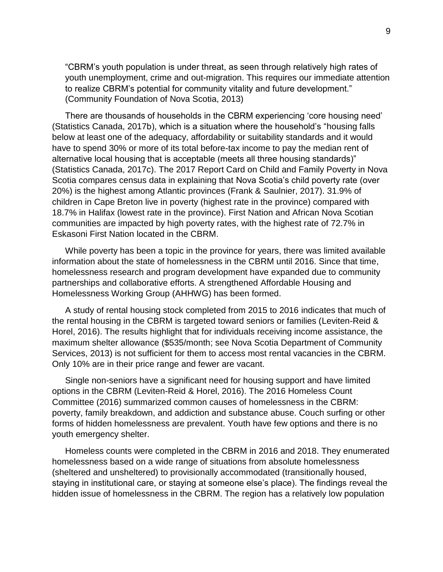"CBRM's youth population is under threat, as seen through relatively high rates of youth unemployment, crime and out-migration. This requires our immediate attention to realize CBRM's potential for community vitality and future development." (Community Foundation of Nova Scotia, 2013)

There are thousands of households in the CBRM experiencing 'core housing need' (Statistics Canada, 2017b), which is a situation where the household's "housing falls below at least one of the adequacy, affordability or suitability standards and it would have to spend 30% or more of its total before-tax income to pay the median rent of alternative local housing that is acceptable (meets all three housing standards)" (Statistics Canada, 2017c). The 2017 Report Card on Child and Family Poverty in Nova Scotia compares census data in explaining that Nova Scotia's child poverty rate (over 20%) is the highest among Atlantic provinces (Frank & Saulnier, 2017). 31.9% of children in Cape Breton live in poverty (highest rate in the province) compared with 18.7% in Halifax (lowest rate in the province). First Nation and African Nova Scotian communities are impacted by high poverty rates, with the highest rate of 72.7% in Eskasoni First Nation located in the CBRM.

While poverty has been a topic in the province for years, there was limited available information about the state of homelessness in the CBRM until 2016. Since that time, homelessness research and program development have expanded due to community partnerships and collaborative efforts. A strengthened Affordable Housing and Homelessness Working Group (AHHWG) has been formed.

A study of rental housing stock completed from 2015 to 2016 indicates that much of the rental housing in the CBRM is targeted toward seniors or families (Leviten-Reid & Horel, 2016). The results highlight that for individuals receiving income assistance, the maximum shelter allowance (\$535/month; see Nova Scotia Department of Community Services, 2013) is not sufficient for them to access most rental vacancies in the CBRM. Only 10% are in their price range and fewer are vacant.

Single non-seniors have a significant need for housing support and have limited options in the CBRM (Leviten-Reid & Horel, 2016). The 2016 Homeless Count Committee (2016) summarized common causes of homelessness in the CBRM: poverty, family breakdown, and addiction and substance abuse. Couch surfing or other forms of hidden homelessness are prevalent. Youth have few options and there is no youth emergency shelter.

Homeless counts were completed in the CBRM in 2016 and 2018. They enumerated homelessness based on a wide range of situations from absolute homelessness (sheltered and unsheltered) to provisionally accommodated (transitionally housed, staying in institutional care, or staying at someone else's place). The findings reveal the hidden issue of homelessness in the CBRM. The region has a relatively low population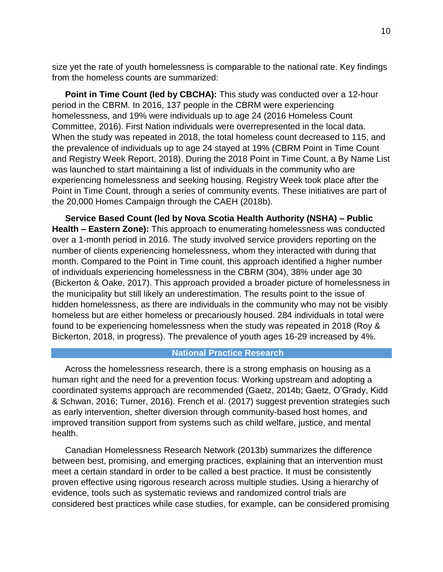size yet the rate of youth homelessness is comparable to the national rate. Key findings from the homeless counts are summarized:

**Point in Time Count (led by CBCHA):** This study was conducted over a 12-hour period in the CBRM. In 2016, 137 people in the CBRM were experiencing homelessness, and 19% were individuals up to age 24 (2016 Homeless Count Committee, 2016). First Nation individuals were overrepresented in the local data. When the study was repeated in 2018, the total homeless count decreased to 115, and the prevalence of individuals up to age 24 stayed at 19% (CBRM Point in Time Count and Registry Week Report, 2018). During the 2018 Point in Time Count, a By Name List was launched to start maintaining a list of individuals in the community who are experiencing homelessness and seeking housing. Registry Week took place after the Point in Time Count, through a series of community events. These initiatives are part of the 20,000 Homes Campaign through the CAEH (2018b).

**Service Based Count (led by Nova Scotia Health Authority (NSHA) – Public Health – Eastern Zone):** This approach to enumerating homelessness was conducted over a 1-month period in 2016. The study involved service providers reporting on the number of clients experiencing homelessness, whom they interacted with during that month. Compared to the Point in Time count, this approach identified a higher number of individuals experiencing homelessness in the CBRM (304), 38% under age 30 (Bickerton & Oake, 2017). This approach provided a broader picture of homelessness in the municipality but still likely an underestimation. The results point to the issue of hidden homelessness, as there are individuals in the community who may not be visibly homeless but are either homeless or precariously housed. 284 individuals in total were found to be experiencing homelessness when the study was repeated in 2018 (Roy & Bickerton, 2018, in progress). The prevalence of youth ages 16-29 increased by 4%.

#### **National Practice Research**

Across the homelessness research, there is a strong emphasis on housing as a human right and the need for a prevention focus. Working upstream and adopting a coordinated systems approach are recommended (Gaetz, 2014b; Gaetz, O'Grady, Kidd & Schwan, 2016; Turner, 2016). French et al. (2017) suggest prevention strategies such as early intervention, shelter diversion through community-based host homes, and improved transition support from systems such as child welfare, justice, and mental health.

Canadian Homelessness Research Network (2013b) summarizes the difference between best, promising, and emerging practices, explaining that an intervention must meet a certain standard in order to be called a best practice. It must be consistently proven effective using rigorous research across multiple studies. Using a hierarchy of evidence, tools such as systematic reviews and randomized control trials are considered best practices while case studies, for example, can be considered promising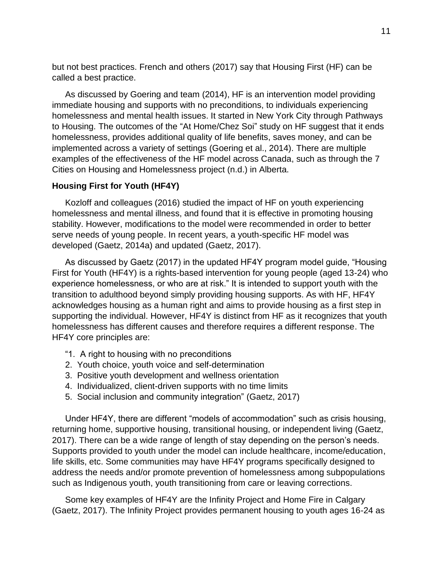but not best practices. French and others (2017) say that Housing First (HF) can be called a best practice.

As discussed by Goering and team (2014), HF is an intervention model providing immediate housing and supports with no preconditions, to individuals experiencing homelessness and mental health issues. It started in New York City through Pathways to Housing. The outcomes of the "At Home/Chez Soi" study on HF suggest that it ends homelessness, provides additional quality of life benefits, saves money, and can be implemented across a variety of settings (Goering et al., 2014). There are multiple examples of the effectiveness of the HF model across Canada, such as through the 7 Cities on Housing and Homelessness project (n.d.) in Alberta.

#### **Housing First for Youth (HF4Y)**

Kozloff and colleagues (2016) studied the impact of HF on youth experiencing homelessness and mental illness, and found that it is effective in promoting housing stability. However, modifications to the model were recommended in order to better serve needs of young people. In recent years, a youth-specific HF model was developed (Gaetz, 2014a) and updated (Gaetz, 2017).

As discussed by Gaetz (2017) in the updated HF4Y program model guide, "Housing First for Youth (HF4Y) is a rights-based intervention for young people (aged 13-24) who experience homelessness, or who are at risk." It is intended to support youth with the transition to adulthood beyond simply providing housing supports. As with HF, HF4Y acknowledges housing as a human right and aims to provide housing as a first step in supporting the individual. However, HF4Y is distinct from HF as it recognizes that youth homelessness has different causes and therefore requires a different response. The HF4Y core principles are:

- "1. A right to housing with no preconditions
- 2. Youth choice, youth voice and self-determination
- 3. Positive youth development and wellness orientation
- 4. Individualized, client-driven supports with no time limits
- 5. Social inclusion and community integration" (Gaetz, 2017)

Under HF4Y, there are different "models of accommodation" such as crisis housing, returning home, supportive housing, transitional housing, or independent living (Gaetz, 2017). There can be a wide range of length of stay depending on the person's needs. Supports provided to youth under the model can include healthcare, income/education, life skills, etc. Some communities may have HF4Y programs specifically designed to address the needs and/or promote prevention of homelessness among subpopulations such as Indigenous youth, youth transitioning from care or leaving corrections.

Some key examples of HF4Y are the Infinity Project and Home Fire in Calgary (Gaetz, 2017). The Infinity Project provides permanent housing to youth ages 16-24 as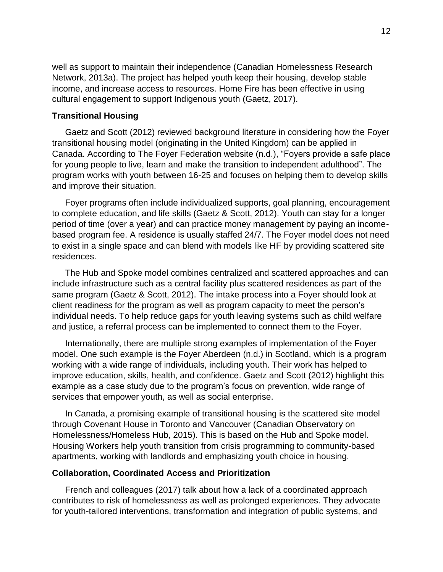well as support to maintain their independence (Canadian Homelessness Research Network, 2013a). The project has helped youth keep their housing, develop stable income, and increase access to resources. Home Fire has been effective in using cultural engagement to support Indigenous youth (Gaetz, 2017).

#### **Transitional Housing**

Gaetz and Scott (2012) reviewed background literature in considering how the Foyer transitional housing model (originating in the United Kingdom) can be applied in Canada. According to The Foyer Federation website (n.d.), "Foyers provide a safe place for young people to live, learn and make the transition to independent adulthood". The program works with youth between 16-25 and focuses on helping them to develop skills and improve their situation.

Foyer programs often include individualized supports, goal planning, encouragement to complete education, and life skills (Gaetz & Scott, 2012). Youth can stay for a longer period of time (over a year) and can practice money management by paying an incomebased program fee. A residence is usually staffed 24/7. The Foyer model does not need to exist in a single space and can blend with models like HF by providing scattered site residences.

The Hub and Spoke model combines centralized and scattered approaches and can include infrastructure such as a central facility plus scattered residences as part of the same program (Gaetz & Scott, 2012). The intake process into a Foyer should look at client readiness for the program as well as program capacity to meet the person's individual needs. To help reduce gaps for youth leaving systems such as child welfare and justice, a referral process can be implemented to connect them to the Foyer.

Internationally, there are multiple strong examples of implementation of the Foyer model. One such example is the Foyer Aberdeen (n.d.) in Scotland, which is a program working with a wide range of individuals, including youth. Their work has helped to improve education, skills, health, and confidence. Gaetz and Scott (2012) highlight this example as a case study due to the program's focus on prevention, wide range of services that empower youth, as well as social enterprise.

In Canada, a promising example of transitional housing is the scattered site model through Covenant House in Toronto and Vancouver (Canadian Observatory on Homelessness/Homeless Hub, 2015). This is based on the Hub and Spoke model. Housing Workers help youth transition from crisis programming to community-based apartments, working with landlords and emphasizing youth choice in housing.

#### **Collaboration, Coordinated Access and Prioritization**

French and colleagues (2017) talk about how a lack of a coordinated approach contributes to risk of homelessness as well as prolonged experiences. They advocate for youth-tailored interventions, transformation and integration of public systems, and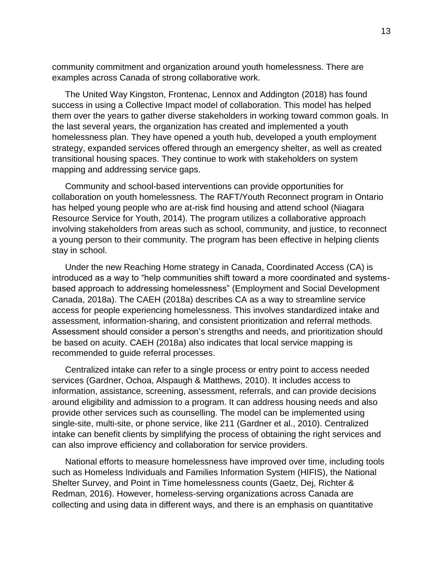community commitment and organization around youth homelessness. There are examples across Canada of strong collaborative work.

The United Way Kingston, Frontenac, Lennox and Addington (2018) has found success in using a Collective Impact model of collaboration. This model has helped them over the years to gather diverse stakeholders in working toward common goals. In the last several years, the organization has created and implemented a youth homelessness plan. They have opened a youth hub, developed a youth employment strategy, expanded services offered through an emergency shelter, as well as created transitional housing spaces. They continue to work with stakeholders on system mapping and addressing service gaps.

Community and school-based interventions can provide opportunities for collaboration on youth homelessness. The RAFT/Youth Reconnect program in Ontario has helped young people who are at-risk find housing and attend school (Niagara Resource Service for Youth, 2014). The program utilizes a collaborative approach involving stakeholders from areas such as school, community, and justice, to reconnect a young person to their community. The program has been effective in helping clients stay in school.

Under the new Reaching Home strategy in Canada, Coordinated Access (CA) is introduced as a way to "help communities shift toward a more coordinated and systemsbased approach to addressing homelessness" (Employment and Social Development Canada, 2018a). The CAEH (2018a) describes CA as a way to streamline service access for people experiencing homelessness. This involves standardized intake and assessment, information-sharing, and consistent prioritization and referral methods. Assessment should consider a person's strengths and needs, and prioritization should be based on acuity. CAEH (2018a) also indicates that local service mapping is recommended to guide referral processes.

Centralized intake can refer to a single process or entry point to access needed services (Gardner, Ochoa, Alspaugh & Matthews, 2010). It includes access to information, assistance, screening, assessment, referrals, and can provide decisions around eligibility and admission to a program. It can address housing needs and also provide other services such as counselling. The model can be implemented using single-site, multi-site, or phone service, like 211 (Gardner et al., 2010). Centralized intake can benefit clients by simplifying the process of obtaining the right services and can also improve efficiency and collaboration for service providers.

National efforts to measure homelessness have improved over time, including tools such as Homeless Individuals and Families Information System (HIFIS), the National Shelter Survey, and Point in Time homelessness counts (Gaetz, Dej, Richter & Redman, 2016). However, homeless-serving organizations across Canada are collecting and using data in different ways, and there is an emphasis on quantitative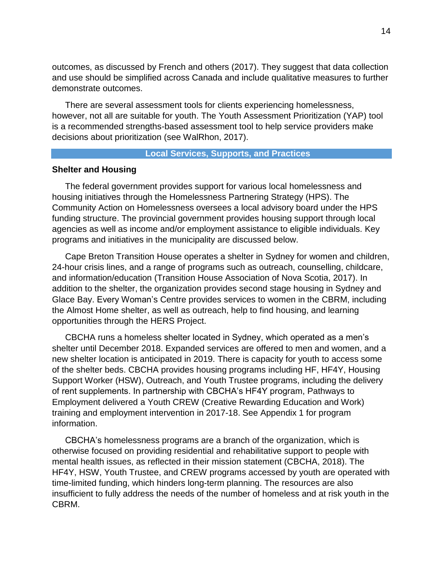outcomes, as discussed by French and others (2017). They suggest that data collection and use should be simplified across Canada and include qualitative measures to further demonstrate outcomes.

There are several assessment tools for clients experiencing homelessness, however, not all are suitable for youth. The Youth Assessment Prioritization (YAP) tool is a recommended strengths-based assessment tool to help service providers make decisions about prioritization (see WalRhon, 2017).

#### **Local Services, Supports, and Practices**

#### **Shelter and Housing**

The federal government provides support for various local homelessness and housing initiatives through the Homelessness Partnering Strategy (HPS). The Community Action on Homelessness oversees a local advisory board under the HPS funding structure. The provincial government provides housing support through local agencies as well as income and/or employment assistance to eligible individuals. Key programs and initiatives in the municipality are discussed below.

Cape Breton Transition House operates a shelter in Sydney for women and children, 24-hour crisis lines, and a range of programs such as outreach, counselling, childcare, and information/education (Transition House Association of Nova Scotia, 2017). In addition to the shelter, the organization provides second stage housing in Sydney and Glace Bay. Every Woman's Centre provides services to women in the CBRM, including the Almost Home shelter, as well as outreach, help to find housing, and learning opportunities through the HERS Project.

CBCHA runs a homeless shelter located in Sydney, which operated as a men's shelter until December 2018. Expanded services are offered to men and women, and a new shelter location is anticipated in 2019. There is capacity for youth to access some of the shelter beds. CBCHA provides housing programs including HF, HF4Y, Housing Support Worker (HSW), Outreach, and Youth Trustee programs, including the delivery of rent supplements. In partnership with CBCHA's HF4Y program, Pathways to Employment delivered a Youth CREW (Creative Rewarding Education and Work) training and employment intervention in 2017-18. See Appendix 1 for program information.

CBCHA's homelessness programs are a branch of the organization, which is otherwise focused on providing residential and rehabilitative support to people with mental health issues, as reflected in their mission statement (CBCHA, 2018). The HF4Y, HSW, Youth Trustee, and CREW programs accessed by youth are operated with time-limited funding, which hinders long-term planning. The resources are also insufficient to fully address the needs of the number of homeless and at risk youth in the CBRM.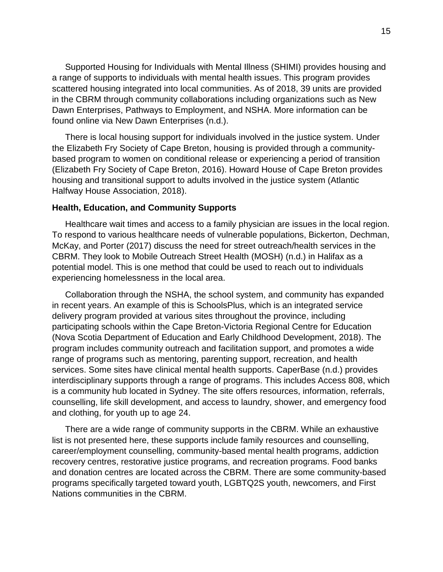Supported Housing for Individuals with Mental Illness (SHIMI) provides housing and a range of supports to individuals with mental health issues. This program provides scattered housing integrated into local communities. As of 2018, 39 units are provided in the CBRM through community collaborations including organizations such as New Dawn Enterprises, Pathways to Employment, and NSHA. More information can be found online via New Dawn Enterprises (n.d.).

There is local housing support for individuals involved in the justice system. Under the Elizabeth Fry Society of Cape Breton, housing is provided through a communitybased program to women on conditional release or experiencing a period of transition (Elizabeth Fry Society of Cape Breton, 2016). Howard House of Cape Breton provides housing and transitional support to adults involved in the justice system (Atlantic Halfway House Association, 2018).

#### **Health, Education, and Community Supports**

Healthcare wait times and access to a family physician are issues in the local region. To respond to various healthcare needs of vulnerable populations, Bickerton, Dechman, McKay, and Porter (2017) discuss the need for street outreach/health services in the CBRM. They look to Mobile Outreach Street Health (MOSH) (n.d.) in Halifax as a potential model. This is one method that could be used to reach out to individuals experiencing homelessness in the local area.

Collaboration through the NSHA, the school system, and community has expanded in recent years. An example of this is SchoolsPlus, which is an integrated service delivery program provided at various sites throughout the province, including participating schools within the Cape Breton-Victoria Regional Centre for Education (Nova Scotia Department of Education and Early Childhood Development, 2018). The program includes community outreach and facilitation support, and promotes a wide range of programs such as mentoring, parenting support, recreation, and health services. Some sites have clinical mental health supports. CaperBase (n.d.) provides interdisciplinary supports through a range of programs. This includes Access 808, which is a community hub located in Sydney. The site offers resources, information, referrals, counselling, life skill development, and access to laundry, shower, and emergency food and clothing, for youth up to age 24.

There are a wide range of community supports in the CBRM. While an exhaustive list is not presented here, these supports include family resources and counselling, career/employment counselling, community-based mental health programs, addiction recovery centres, restorative justice programs, and recreation programs. Food banks and donation centres are located across the CBRM. There are some community-based programs specifically targeted toward youth, LGBTQ2S youth, newcomers, and First Nations communities in the CBRM.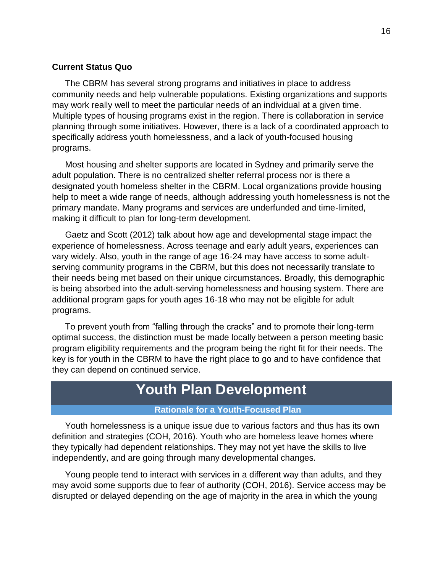#### **Current Status Quo**

The CBRM has several strong programs and initiatives in place to address community needs and help vulnerable populations. Existing organizations and supports may work really well to meet the particular needs of an individual at a given time. Multiple types of housing programs exist in the region. There is collaboration in service planning through some initiatives. However, there is a lack of a coordinated approach to specifically address youth homelessness, and a lack of youth-focused housing programs.

Most housing and shelter supports are located in Sydney and primarily serve the adult population. There is no centralized shelter referral process nor is there a designated youth homeless shelter in the CBRM. Local organizations provide housing help to meet a wide range of needs, although addressing youth homelessness is not the primary mandate. Many programs and services are underfunded and time-limited, making it difficult to plan for long-term development.

Gaetz and Scott (2012) talk about how age and developmental stage impact the experience of homelessness. Across teenage and early adult years, experiences can vary widely. Also, youth in the range of age 16-24 may have access to some adultserving community programs in the CBRM, but this does not necessarily translate to their needs being met based on their unique circumstances. Broadly, this demographic is being absorbed into the adult-serving homelessness and housing system. There are additional program gaps for youth ages 16-18 who may not be eligible for adult programs.

To prevent youth from "falling through the cracks" and to promote their long-term optimal success, the distinction must be made locally between a person meeting basic program eligibility requirements and the program being the right fit for their needs. The key is for youth in the CBRM to have the right place to go and to have confidence that they can depend on continued service.

### **Youth Plan Development**

#### **Rationale for a Youth-Focused Plan**

Youth homelessness is a unique issue due to various factors and thus has its own definition and strategies (COH, 2016). Youth who are homeless leave homes where they typically had dependent relationships. They may not yet have the skills to live independently, and are going through many developmental changes.

Young people tend to interact with services in a different way than adults, and they may avoid some supports due to fear of authority (COH, 2016). Service access may be disrupted or delayed depending on the age of majority in the area in which the young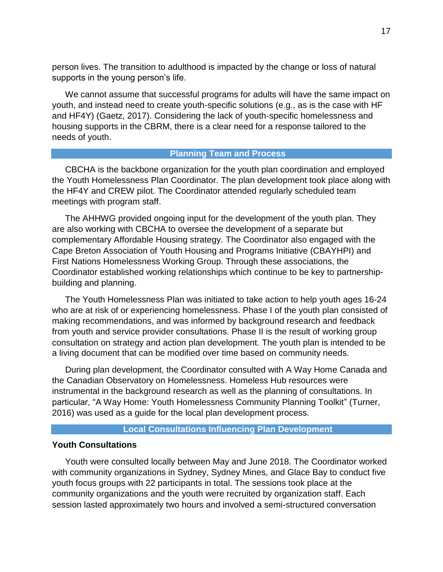person lives. The transition to adulthood is impacted by the change or loss of natural supports in the young person's life.

We cannot assume that successful programs for adults will have the same impact on youth, and instead need to create youth-specific solutions (e.g., as is the case with HF and HF4Y) (Gaetz, 2017). Considering the lack of youth-specific homelessness and housing supports in the CBRM, there is a clear need for a response tailored to the needs of youth.

#### **Planning Team and Process**

CBCHA is the backbone organization for the youth plan coordination and employed the Youth Homelessness Plan Coordinator. The plan development took place along with the HF4Y and CREW pilot. The Coordinator attended regularly scheduled team meetings with program staff.

The AHHWG provided ongoing input for the development of the youth plan. They are also working with CBCHA to oversee the development of a separate but complementary Affordable Housing strategy. The Coordinator also engaged with the Cape Breton Association of Youth Housing and Programs Initiative (CBAYHPI) and First Nations Homelessness Working Group. Through these associations, the Coordinator established working relationships which continue to be key to partnershipbuilding and planning.

The Youth Homelessness Plan was initiated to take action to help youth ages 16-24 who are at risk of or experiencing homelessness. Phase I of the youth plan consisted of making recommendations, and was informed by background research and feedback from youth and service provider consultations. Phase II is the result of working group consultation on strategy and action plan development. The youth plan is intended to be a living document that can be modified over time based on community needs.

During plan development, the Coordinator consulted with A Way Home Canada and the Canadian Observatory on Homelessness. Homeless Hub resources were instrumental in the background research as well as the planning of consultations. In particular, "A Way Home: Youth Homelessness Community Planning Toolkit" (Turner, 2016) was used as a guide for the local plan development process.

#### **Local Consultations Influencing Plan Development**

#### **Youth Consultations**

Youth were consulted locally between May and June 2018. The Coordinator worked with community organizations in Sydney, Sydney Mines, and Glace Bay to conduct five youth focus groups with 22 participants in total. The sessions took place at the community organizations and the youth were recruited by organization staff. Each session lasted approximately two hours and involved a semi-structured conversation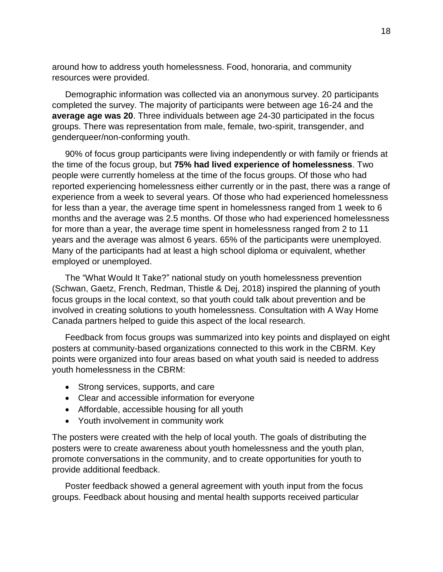around how to address youth homelessness. Food, honoraria, and community resources were provided.

Demographic information was collected via an anonymous survey. 20 participants completed the survey. The majority of participants were between age 16-24 and the **average age was 20**. Three individuals between age 24-30 participated in the focus groups. There was representation from male, female, two-spirit, transgender, and genderqueer/non-conforming youth.

90% of focus group participants were living independently or with family or friends at the time of the focus group, but **75% had lived experience of homelessness**. Two people were currently homeless at the time of the focus groups. Of those who had reported experiencing homelessness either currently or in the past, there was a range of experience from a week to several years. Of those who had experienced homelessness for less than a year, the average time spent in homelessness ranged from 1 week to 6 months and the average was 2.5 months. Of those who had experienced homelessness for more than a year, the average time spent in homelessness ranged from 2 to 11 years and the average was almost 6 years. 65% of the participants were unemployed. Many of the participants had at least a high school diploma or equivalent, whether employed or unemployed.

The "What Would It Take?" national study on youth homelessness prevention (Schwan, Gaetz, French, Redman, Thistle & Dej, 2018) inspired the planning of youth focus groups in the local context, so that youth could talk about prevention and be involved in creating solutions to youth homelessness. Consultation with A Way Home Canada partners helped to guide this aspect of the local research.

Feedback from focus groups was summarized into key points and displayed on eight posters at community-based organizations connected to this work in the CBRM. Key points were organized into four areas based on what youth said is needed to address youth homelessness in the CBRM:

- Strong services, supports, and care
- Clear and accessible information for everyone
- Affordable, accessible housing for all youth
- Youth involvement in community work

The posters were created with the help of local youth. The goals of distributing the posters were to create awareness about youth homelessness and the youth plan, promote conversations in the community, and to create opportunities for youth to provide additional feedback.

Poster feedback showed a general agreement with youth input from the focus groups. Feedback about housing and mental health supports received particular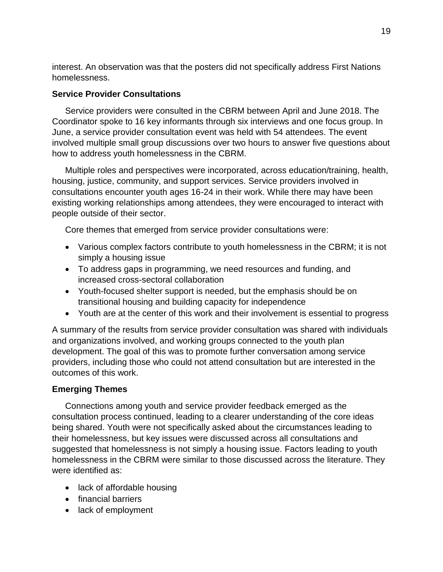interest. An observation was that the posters did not specifically address First Nations homelessness.

#### **Service Provider Consultations**

Service providers were consulted in the CBRM between April and June 2018. The Coordinator spoke to 16 key informants through six interviews and one focus group. In June, a service provider consultation event was held with 54 attendees. The event involved multiple small group discussions over two hours to answer five questions about how to address youth homelessness in the CBRM.

Multiple roles and perspectives were incorporated, across education/training, health, housing, justice, community, and support services. Service providers involved in consultations encounter youth ages 16-24 in their work. While there may have been existing working relationships among attendees, they were encouraged to interact with people outside of their sector.

Core themes that emerged from service provider consultations were:

- Various complex factors contribute to youth homelessness in the CBRM; it is not simply a housing issue
- To address gaps in programming, we need resources and funding, and increased cross-sectoral collaboration
- Youth-focused shelter support is needed, but the emphasis should be on transitional housing and building capacity for independence
- Youth are at the center of this work and their involvement is essential to progress

A summary of the results from service provider consultation was shared with individuals and organizations involved, and working groups connected to the youth plan development. The goal of this was to promote further conversation among service providers, including those who could not attend consultation but are interested in the outcomes of this work.

#### **Emerging Themes**

Connections among youth and service provider feedback emerged as the consultation process continued, leading to a clearer understanding of the core ideas being shared. Youth were not specifically asked about the circumstances leading to their homelessness, but key issues were discussed across all consultations and suggested that homelessness is not simply a housing issue. Factors leading to youth homelessness in the CBRM were similar to those discussed across the literature. They were identified as:

- lack of affordable housing
- financial barriers
- lack of employment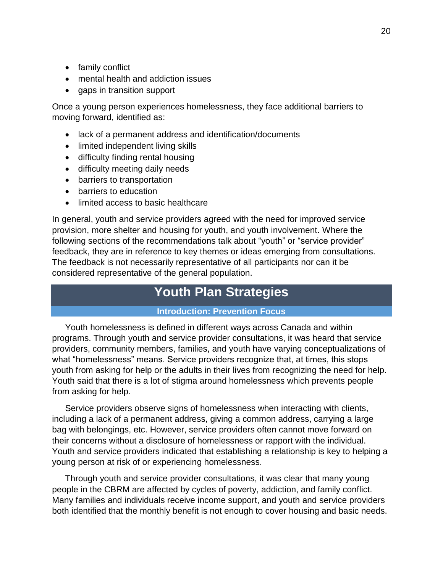- family conflict
- mental health and addiction issues
- gaps in transition support

Once a young person experiences homelessness, they face additional barriers to moving forward, identified as:

- lack of a permanent address and identification/documents
- limited independent living skills
- difficulty finding rental housing
- difficulty meeting daily needs
- barriers to transportation
- barriers to education
- limited access to basic healthcare

In general, youth and service providers agreed with the need for improved service provision, more shelter and housing for youth, and youth involvement. Where the following sections of the recommendations talk about "youth" or "service provider" feedback, they are in reference to key themes or ideas emerging from consultations. The feedback is not necessarily representative of all participants nor can it be considered representative of the general population.

### **Youth Plan Strategies**

#### **Introduction: Prevention Focus**

Youth homelessness is defined in different ways across Canada and within programs. Through youth and service provider consultations, it was heard that service providers, community members, families, and youth have varying conceptualizations of what "homelessness" means. Service providers recognize that, at times, this stops youth from asking for help or the adults in their lives from recognizing the need for help. Youth said that there is a lot of stigma around homelessness which prevents people from asking for help.

Service providers observe signs of homelessness when interacting with clients, including a lack of a permanent address, giving a common address, carrying a large bag with belongings, etc. However, service providers often cannot move forward on their concerns without a disclosure of homelessness or rapport with the individual. Youth and service providers indicated that establishing a relationship is key to helping a young person at risk of or experiencing homelessness.

Through youth and service provider consultations, it was clear that many young people in the CBRM are affected by cycles of poverty, addiction, and family conflict. Many families and individuals receive income support, and youth and service providers both identified that the monthly benefit is not enough to cover housing and basic needs.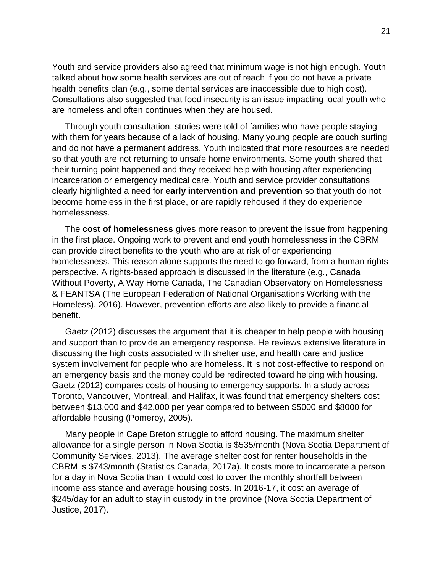Youth and service providers also agreed that minimum wage is not high enough. Youth talked about how some health services are out of reach if you do not have a private health benefits plan (e.g., some dental services are inaccessible due to high cost). Consultations also suggested that food insecurity is an issue impacting local youth who are homeless and often continues when they are housed.

Through youth consultation, stories were told of families who have people staying with them for years because of a lack of housing. Many young people are couch surfing and do not have a permanent address. Youth indicated that more resources are needed so that youth are not returning to unsafe home environments. Some youth shared that their turning point happened and they received help with housing after experiencing incarceration or emergency medical care. Youth and service provider consultations clearly highlighted a need for **early intervention and prevention** so that youth do not become homeless in the first place, or are rapidly rehoused if they do experience homelessness.

The **cost of homelessness** gives more reason to prevent the issue from happening in the first place. Ongoing work to prevent and end youth homelessness in the CBRM can provide direct benefits to the youth who are at risk of or experiencing homelessness. This reason alone supports the need to go forward, from a human rights perspective. A rights-based approach is discussed in the literature (e.g., Canada Without Poverty, A Way Home Canada, The Canadian Observatory on Homelessness & FEANTSA (The European Federation of National Organisations Working with the Homeless), 2016). However, prevention efforts are also likely to provide a financial benefit.

Gaetz (2012) discusses the argument that it is cheaper to help people with housing and support than to provide an emergency response. He reviews extensive literature in discussing the high costs associated with shelter use, and health care and justice system involvement for people who are homeless. It is not cost-effective to respond on an emergency basis and the money could be redirected toward helping with housing. Gaetz (2012) compares costs of housing to emergency supports. In a study across Toronto, Vancouver, Montreal, and Halifax, it was found that emergency shelters cost between \$13,000 and \$42,000 per year compared to between \$5000 and \$8000 for affordable housing (Pomeroy, 2005).

Many people in Cape Breton struggle to afford housing. The maximum shelter allowance for a single person in Nova Scotia is \$535/month (Nova Scotia Department of Community Services, 2013). The average shelter cost for renter households in the CBRM is \$743/month (Statistics Canada, 2017a). It costs more to incarcerate a person for a day in Nova Scotia than it would cost to cover the monthly shortfall between income assistance and average housing costs. In 2016-17, it cost an average of \$245/day for an adult to stay in custody in the province (Nova Scotia Department of Justice, 2017).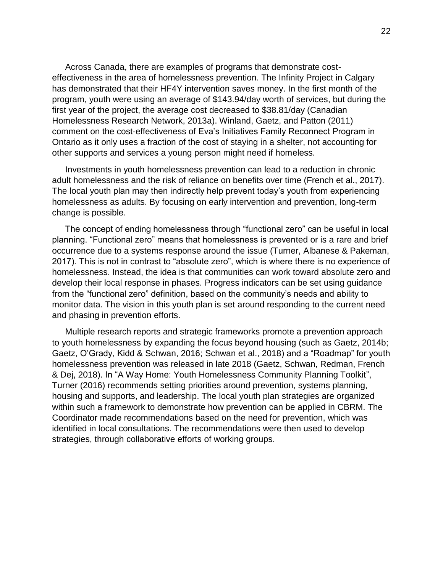Across Canada, there are examples of programs that demonstrate costeffectiveness in the area of homelessness prevention. The Infinity Project in Calgary has demonstrated that their HF4Y intervention saves money. In the first month of the program, youth were using an average of \$143.94/day worth of services, but during the first year of the project, the average cost decreased to \$38.81/day (Canadian Homelessness Research Network, 2013a). Winland, Gaetz, and Patton (2011) comment on the cost-effectiveness of Eva's Initiatives Family Reconnect Program in Ontario as it only uses a fraction of the cost of staying in a shelter, not accounting for other supports and services a young person might need if homeless.

Investments in youth homelessness prevention can lead to a reduction in chronic adult homelessness and the risk of reliance on benefits over time (French et al., 2017). The local youth plan may then indirectly help prevent today's youth from experiencing homelessness as adults. By focusing on early intervention and prevention, long-term change is possible.

The concept of ending homelessness through "functional zero" can be useful in local planning. "Functional zero" means that homelessness is prevented or is a rare and brief occurrence due to a systems response around the issue (Turner, Albanese & Pakeman, 2017). This is not in contrast to "absolute zero", which is where there is no experience of homelessness. Instead, the idea is that communities can work toward absolute zero and develop their local response in phases. Progress indicators can be set using guidance from the "functional zero" definition, based on the community's needs and ability to monitor data. The vision in this youth plan is set around responding to the current need and phasing in prevention efforts.

Multiple research reports and strategic frameworks promote a prevention approach to youth homelessness by expanding the focus beyond housing (such as Gaetz, 2014b; Gaetz, O'Grady, Kidd & Schwan, 2016; Schwan et al., 2018) and a "Roadmap" for youth homelessness prevention was released in late 2018 (Gaetz, Schwan, Redman, French & Dej, 2018). In "A Way Home: Youth Homelessness Community Planning Toolkit", Turner (2016) recommends setting priorities around prevention, systems planning, housing and supports, and leadership. The local youth plan strategies are organized within such a framework to demonstrate how prevention can be applied in CBRM. The Coordinator made recommendations based on the need for prevention, which was identified in local consultations. The recommendations were then used to develop strategies, through collaborative efforts of working groups.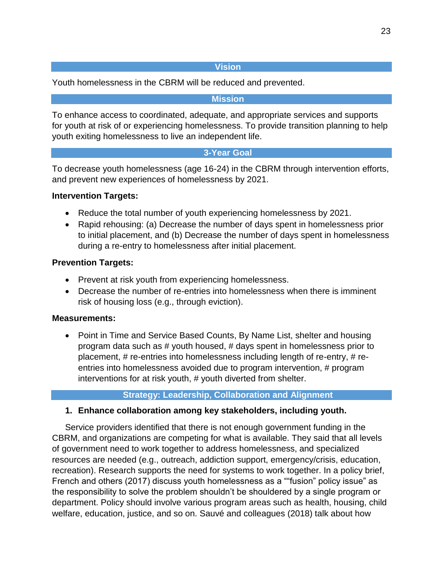#### **Vision**

Youth homelessness in the CBRM will be reduced and prevented.

#### **Mission**

To enhance access to coordinated, adequate, and appropriate services and supports for youth at risk of or experiencing homelessness. To provide transition planning to help youth exiting homelessness to live an independent life.

#### **3-Year Goal**

To decrease youth homelessness (age 16-24) in the CBRM through intervention efforts, and prevent new experiences of homelessness by 2021.

#### **Intervention Targets:**

- Reduce the total number of youth experiencing homelessness by 2021.
- Rapid rehousing: (a) Decrease the number of days spent in homelessness prior to initial placement, and (b) Decrease the number of days spent in homelessness during a re-entry to homelessness after initial placement.

#### **Prevention Targets:**

- Prevent at risk youth from experiencing homelessness.
- Decrease the number of re-entries into homelessness when there is imminent risk of housing loss (e.g., through eviction).

#### **Measurements:**

• Point in Time and Service Based Counts, By Name List, shelter and housing program data such as # youth housed, # days spent in homelessness prior to placement, # re-entries into homelessness including length of re-entry, # reentries into homelessness avoided due to program intervention, # program interventions for at risk youth, # youth diverted from shelter.

#### **Strategy: Leadership, Collaboration and Alignment**

#### **1. Enhance collaboration among key stakeholders, including youth.**

Service providers identified that there is not enough government funding in the CBRM, and organizations are competing for what is available. They said that all levels of government need to work together to address homelessness, and specialized resources are needed (e.g., outreach, addiction support, emergency/crisis, education, recreation). Research supports the need for systems to work together. In a policy brief, French and others (2017) discuss youth homelessness as a ""fusion" policy issue" as the responsibility to solve the problem shouldn't be shouldered by a single program or department. Policy should involve various program areas such as health, housing, child welfare, education, justice, and so on. Sauvé and colleagues (2018) talk about how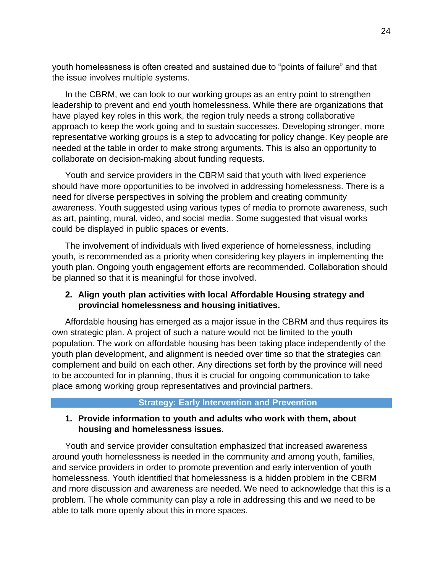youth homelessness is often created and sustained due to "points of failure" and that the issue involves multiple systems.

In the CBRM, we can look to our working groups as an entry point to strengthen leadership to prevent and end youth homelessness. While there are organizations that have played key roles in this work, the region truly needs a strong collaborative approach to keep the work going and to sustain successes. Developing stronger, more representative working groups is a step to advocating for policy change. Key people are needed at the table in order to make strong arguments. This is also an opportunity to collaborate on decision-making about funding requests.

Youth and service providers in the CBRM said that youth with lived experience should have more opportunities to be involved in addressing homelessness. There is a need for diverse perspectives in solving the problem and creating community awareness. Youth suggested using various types of media to promote awareness, such as art, painting, mural, video, and social media. Some suggested that visual works could be displayed in public spaces or events.

The involvement of individuals with lived experience of homelessness, including youth, is recommended as a priority when considering key players in implementing the youth plan. Ongoing youth engagement efforts are recommended. Collaboration should be planned so that it is meaningful for those involved.

#### **2. Align youth plan activities with local Affordable Housing strategy and provincial homelessness and housing initiatives.**

Affordable housing has emerged as a major issue in the CBRM and thus requires its own strategic plan. A project of such a nature would not be limited to the youth population. The work on affordable housing has been taking place independently of the youth plan development, and alignment is needed over time so that the strategies can complement and build on each other. Any directions set forth by the province will need to be accounted for in planning, thus it is crucial for ongoing communication to take place among working group representatives and provincial partners.

#### **Strategy: Early Intervention and Prevention**

#### **1. Provide information to youth and adults who work with them, about housing and homelessness issues.**

Youth and service provider consultation emphasized that increased awareness around youth homelessness is needed in the community and among youth, families, and service providers in order to promote prevention and early intervention of youth homelessness. Youth identified that homelessness is a hidden problem in the CBRM and more discussion and awareness are needed. We need to acknowledge that this is a problem. The whole community can play a role in addressing this and we need to be able to talk more openly about this in more spaces.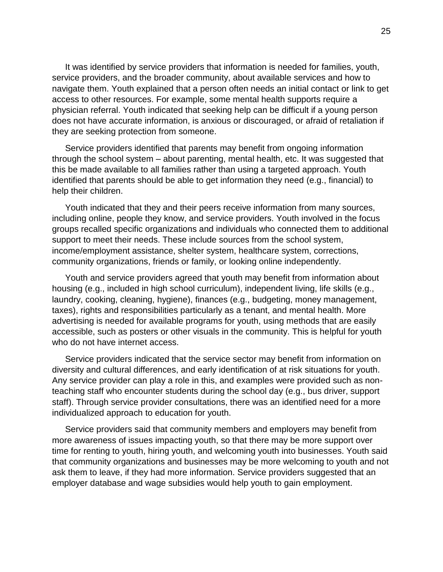It was identified by service providers that information is needed for families, youth, service providers, and the broader community, about available services and how to navigate them. Youth explained that a person often needs an initial contact or link to get access to other resources. For example, some mental health supports require a physician referral. Youth indicated that seeking help can be difficult if a young person does not have accurate information, is anxious or discouraged, or afraid of retaliation if they are seeking protection from someone.

Service providers identified that parents may benefit from ongoing information through the school system – about parenting, mental health, etc. It was suggested that this be made available to all families rather than using a targeted approach. Youth identified that parents should be able to get information they need (e.g., financial) to help their children.

Youth indicated that they and their peers receive information from many sources, including online, people they know, and service providers. Youth involved in the focus groups recalled specific organizations and individuals who connected them to additional support to meet their needs. These include sources from the school system, income/employment assistance, shelter system, healthcare system, corrections, community organizations, friends or family, or looking online independently.

Youth and service providers agreed that youth may benefit from information about housing (e.g., included in high school curriculum), independent living, life skills (e.g., laundry, cooking, cleaning, hygiene), finances (e.g., budgeting, money management, taxes), rights and responsibilities particularly as a tenant, and mental health. More advertising is needed for available programs for youth, using methods that are easily accessible, such as posters or other visuals in the community. This is helpful for youth who do not have internet access.

Service providers indicated that the service sector may benefit from information on diversity and cultural differences, and early identification of at risk situations for youth. Any service provider can play a role in this, and examples were provided such as nonteaching staff who encounter students during the school day (e.g., bus driver, support staff). Through service provider consultations, there was an identified need for a more individualized approach to education for youth.

Service providers said that community members and employers may benefit from more awareness of issues impacting youth, so that there may be more support over time for renting to youth, hiring youth, and welcoming youth into businesses. Youth said that community organizations and businesses may be more welcoming to youth and not ask them to leave, if they had more information. Service providers suggested that an employer database and wage subsidies would help youth to gain employment.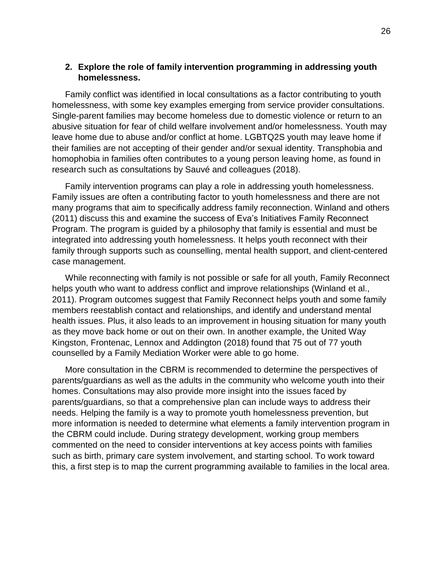#### **2. Explore the role of family intervention programming in addressing youth homelessness.**

Family conflict was identified in local consultations as a factor contributing to youth homelessness, with some key examples emerging from service provider consultations. Single-parent families may become homeless due to domestic violence or return to an abusive situation for fear of child welfare involvement and/or homelessness. Youth may leave home due to abuse and/or conflict at home. LGBTQ2S youth may leave home if their families are not accepting of their gender and/or sexual identity. Transphobia and homophobia in families often contributes to a young person leaving home, as found in research such as consultations by Sauvé and colleagues (2018).

Family intervention programs can play a role in addressing youth homelessness. Family issues are often a contributing factor to youth homelessness and there are not many programs that aim to specifically address family reconnection. Winland and others (2011) discuss this and examine the success of Eva's Initiatives Family Reconnect Program. The program is guided by a philosophy that family is essential and must be integrated into addressing youth homelessness. It helps youth reconnect with their family through supports such as counselling, mental health support, and client-centered case management.

While reconnecting with family is not possible or safe for all youth, Family Reconnect helps youth who want to address conflict and improve relationships (Winland et al., 2011). Program outcomes suggest that Family Reconnect helps youth and some family members reestablish contact and relationships, and identify and understand mental health issues. Plus, it also leads to an improvement in housing situation for many youth as they move back home or out on their own. In another example, the United Way Kingston, Frontenac, Lennox and Addington (2018) found that 75 out of 77 youth counselled by a Family Mediation Worker were able to go home.

More consultation in the CBRM is recommended to determine the perspectives of parents/guardians as well as the adults in the community who welcome youth into their homes. Consultations may also provide more insight into the issues faced by parents/guardians, so that a comprehensive plan can include ways to address their needs. Helping the family is a way to promote youth homelessness prevention, but more information is needed to determine what elements a family intervention program in the CBRM could include. During strategy development, working group members commented on the need to consider interventions at key access points with families such as birth, primary care system involvement, and starting school. To work toward this, a first step is to map the current programming available to families in the local area.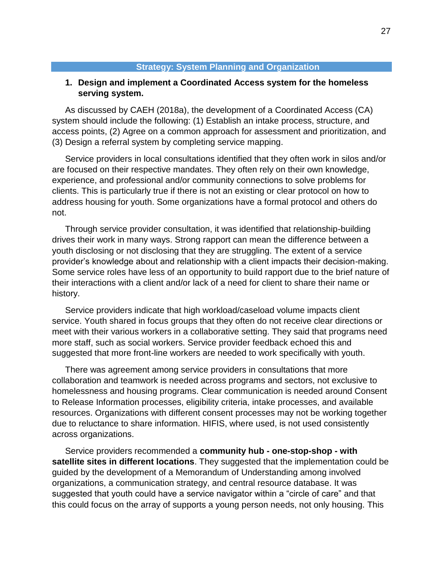#### **Strategy: System Planning and Organization**

#### **1. Design and implement a Coordinated Access system for the homeless serving system.**

As discussed by CAEH (2018a), the development of a Coordinated Access (CA) system should include the following: (1) Establish an intake process, structure, and access points, (2) Agree on a common approach for assessment and prioritization, and (3) Design a referral system by completing service mapping.

Service providers in local consultations identified that they often work in silos and/or are focused on their respective mandates. They often rely on their own knowledge, experience, and professional and/or community connections to solve problems for clients. This is particularly true if there is not an existing or clear protocol on how to address housing for youth. Some organizations have a formal protocol and others do not.

Through service provider consultation, it was identified that relationship-building drives their work in many ways. Strong rapport can mean the difference between a youth disclosing or not disclosing that they are struggling. The extent of a service provider's knowledge about and relationship with a client impacts their decision-making. Some service roles have less of an opportunity to build rapport due to the brief nature of their interactions with a client and/or lack of a need for client to share their name or history.

Service providers indicate that high workload/caseload volume impacts client service. Youth shared in focus groups that they often do not receive clear directions or meet with their various workers in a collaborative setting. They said that programs need more staff, such as social workers. Service provider feedback echoed this and suggested that more front-line workers are needed to work specifically with youth.

There was agreement among service providers in consultations that more collaboration and teamwork is needed across programs and sectors, not exclusive to homelessness and housing programs. Clear communication is needed around Consent to Release Information processes, eligibility criteria, intake processes, and available resources. Organizations with different consent processes may not be working together due to reluctance to share information. HIFIS, where used, is not used consistently across organizations.

Service providers recommended a **community hub - one-stop-shop - with satellite sites in different locations**. They suggested that the implementation could be guided by the development of a Memorandum of Understanding among involved organizations, a communication strategy, and central resource database. It was suggested that youth could have a service navigator within a "circle of care" and that this could focus on the array of supports a young person needs, not only housing. This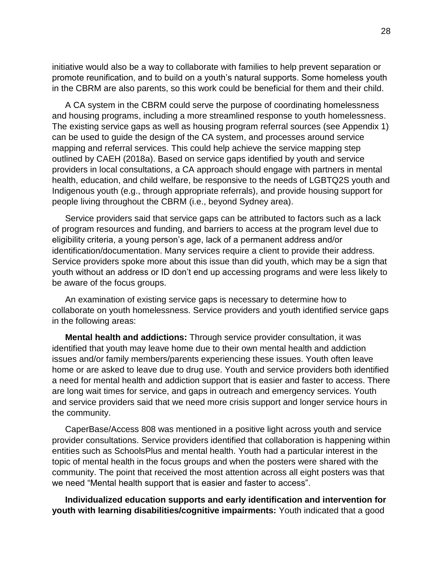initiative would also be a way to collaborate with families to help prevent separation or promote reunification, and to build on a youth's natural supports. Some homeless youth in the CBRM are also parents, so this work could be beneficial for them and their child.

A CA system in the CBRM could serve the purpose of coordinating homelessness and housing programs, including a more streamlined response to youth homelessness. The existing service gaps as well as housing program referral sources (see Appendix 1) can be used to guide the design of the CA system, and processes around service mapping and referral services. This could help achieve the service mapping step outlined by CAEH (2018a). Based on service gaps identified by youth and service providers in local consultations, a CA approach should engage with partners in mental health, education, and child welfare, be responsive to the needs of LGBTQ2S youth and Indigenous youth (e.g., through appropriate referrals), and provide housing support for people living throughout the CBRM (i.e., beyond Sydney area).

Service providers said that service gaps can be attributed to factors such as a lack of program resources and funding, and barriers to access at the program level due to eligibility criteria, a young person's age, lack of a permanent address and/or identification/documentation. Many services require a client to provide their address. Service providers spoke more about this issue than did youth, which may be a sign that youth without an address or ID don't end up accessing programs and were less likely to be aware of the focus groups.

An examination of existing service gaps is necessary to determine how to collaborate on youth homelessness. Service providers and youth identified service gaps in the following areas:

**Mental health and addictions:** Through service provider consultation, it was identified that youth may leave home due to their own mental health and addiction issues and/or family members/parents experiencing these issues. Youth often leave home or are asked to leave due to drug use. Youth and service providers both identified a need for mental health and addiction support that is easier and faster to access. There are long wait times for service, and gaps in outreach and emergency services. Youth and service providers said that we need more crisis support and longer service hours in the community.

CaperBase/Access 808 was mentioned in a positive light across youth and service provider consultations. Service providers identified that collaboration is happening within entities such as SchoolsPlus and mental health. Youth had a particular interest in the topic of mental health in the focus groups and when the posters were shared with the community. The point that received the most attention across all eight posters was that we need "Mental health support that is easier and faster to access".

**Individualized education supports and early identification and intervention for youth with learning disabilities/cognitive impairments:** Youth indicated that a good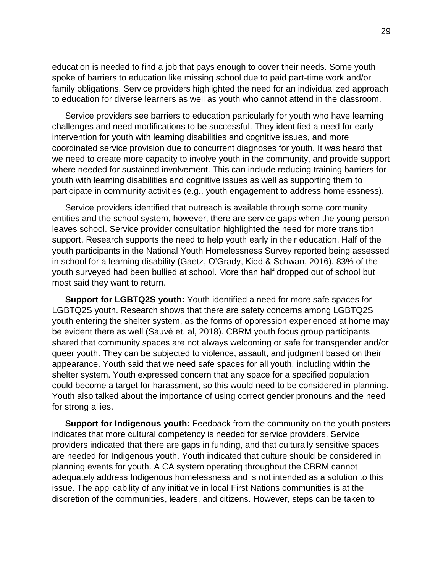education is needed to find a job that pays enough to cover their needs. Some youth spoke of barriers to education like missing school due to paid part-time work and/or family obligations. Service providers highlighted the need for an individualized approach to education for diverse learners as well as youth who cannot attend in the classroom.

Service providers see barriers to education particularly for youth who have learning challenges and need modifications to be successful. They identified a need for early intervention for youth with learning disabilities and cognitive issues, and more coordinated service provision due to concurrent diagnoses for youth. It was heard that we need to create more capacity to involve youth in the community, and provide support where needed for sustained involvement. This can include reducing training barriers for youth with learning disabilities and cognitive issues as well as supporting them to participate in community activities (e.g., youth engagement to address homelessness).

Service providers identified that outreach is available through some community entities and the school system, however, there are service gaps when the young person leaves school. Service provider consultation highlighted the need for more transition support. Research supports the need to help youth early in their education. Half of the youth participants in the National Youth Homelessness Survey reported being assessed in school for a learning disability (Gaetz, O'Grady, Kidd & Schwan, 2016). 83% of the youth surveyed had been bullied at school. More than half dropped out of school but most said they want to return.

**Support for LGBTQ2S youth:** Youth identified a need for more safe spaces for LGBTQ2S youth. Research shows that there are safety concerns among LGBTQ2S youth entering the shelter system, as the forms of oppression experienced at home may be evident there as well (Sauvé et. al, 2018). CBRM youth focus group participants shared that community spaces are not always welcoming or safe for transgender and/or queer youth. They can be subjected to violence, assault, and judgment based on their appearance. Youth said that we need safe spaces for all youth, including within the shelter system. Youth expressed concern that any space for a specified population could become a target for harassment, so this would need to be considered in planning. Youth also talked about the importance of using correct gender pronouns and the need for strong allies.

**Support for Indigenous youth:** Feedback from the community on the youth posters indicates that more cultural competency is needed for service providers. Service providers indicated that there are gaps in funding, and that culturally sensitive spaces are needed for Indigenous youth. Youth indicated that culture should be considered in planning events for youth. A CA system operating throughout the CBRM cannot adequately address Indigenous homelessness and is not intended as a solution to this issue. The applicability of any initiative in local First Nations communities is at the discretion of the communities, leaders, and citizens. However, steps can be taken to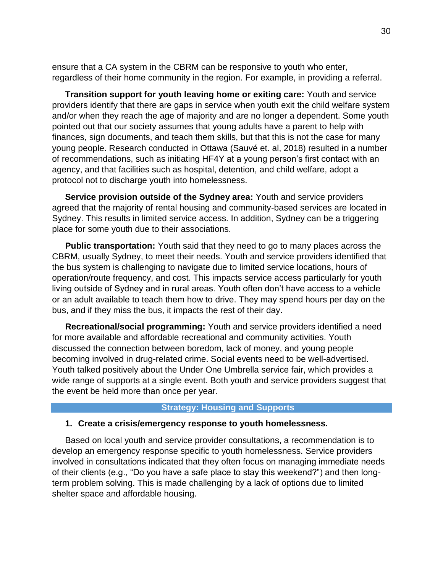ensure that a CA system in the CBRM can be responsive to youth who enter, regardless of their home community in the region. For example, in providing a referral.

**Transition support for youth leaving home or exiting care:** Youth and service providers identify that there are gaps in service when youth exit the child welfare system and/or when they reach the age of majority and are no longer a dependent. Some youth pointed out that our society assumes that young adults have a parent to help with finances, sign documents, and teach them skills, but that this is not the case for many young people. Research conducted in Ottawa (Sauvé et. al, 2018) resulted in a number of recommendations, such as initiating HF4Y at a young person's first contact with an agency, and that facilities such as hospital, detention, and child welfare, adopt a protocol not to discharge youth into homelessness.

**Service provision outside of the Sydney area:** Youth and service providers agreed that the majority of rental housing and community-based services are located in Sydney. This results in limited service access. In addition, Sydney can be a triggering place for some youth due to their associations.

**Public transportation:** Youth said that they need to go to many places across the CBRM, usually Sydney, to meet their needs. Youth and service providers identified that the bus system is challenging to navigate due to limited service locations, hours of operation/route frequency, and cost. This impacts service access particularly for youth living outside of Sydney and in rural areas. Youth often don't have access to a vehicle or an adult available to teach them how to drive. They may spend hours per day on the bus, and if they miss the bus, it impacts the rest of their day.

**Recreational/social programming:** Youth and service providers identified a need for more available and affordable recreational and community activities. Youth discussed the connection between boredom, lack of money, and young people becoming involved in drug-related crime. Social events need to be well-advertised. Youth talked positively about the Under One Umbrella service fair, which provides a wide range of supports at a single event. Both youth and service providers suggest that the event be held more than once per year.

#### **Strategy: Housing and Supports**

#### **1. Create a crisis/emergency response to youth homelessness.**

Based on local youth and service provider consultations, a recommendation is to develop an emergency response specific to youth homelessness. Service providers involved in consultations indicated that they often focus on managing immediate needs of their clients (e.g., "Do you have a safe place to stay this weekend?") and then longterm problem solving. This is made challenging by a lack of options due to limited shelter space and affordable housing.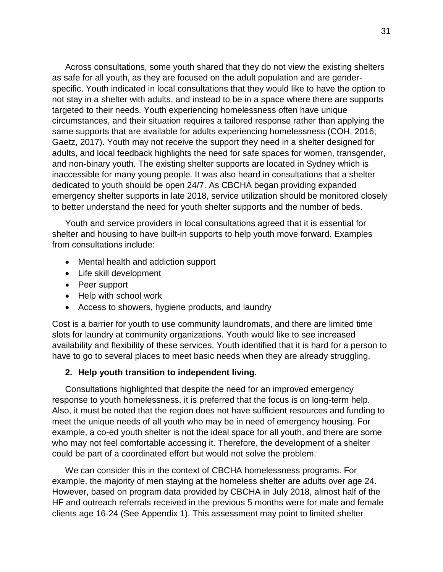Across consultations, some youth shared that they do not view the existing shelters as safe for all youth, as they are focused on the adult population and are genderspecific. Youth indicated in local consultations that they would like to have the option to not stay in a shelter with adults, and instead to be in a space where there are supports targeted to their needs. Youth experiencing homelessness often have unique circumstances, and their situation requires a tailored response rather than applying the same supports that are available for adults experiencing homelessness (COH, 2016; Gaetz, 2017). Youth may not receive the support they need in a shelter designed for adults, and local feedback highlights the need for safe spaces for women, transgender, and non-binary youth. The existing shelter supports are located in Sydney which is inaccessible for many young people. It was also heard in consultations that a shelter dedicated to youth should be open 24/7. As CBCHA began providing expanded emergency shelter supports in late 2018, service utilization should be monitored closely to better understand the need for youth shelter supports and the number of beds.

Youth and service providers in local consultations agreed that it is essential for shelter and housing to have built-in supports to help youth move forward. Examples from consultations include:

- Mental health and addiction support
- Life skill development
- Peer support
- Help with school work
- Access to showers, hygiene products, and laundry

Cost is a barrier for youth to use community laundromats, and there are limited time slots for laundry at community organizations. Youth would like to see increased availability and flexibility of these services. Youth identified that it is hard for a person to have to go to several places to meet basic needs when they are already struggling.

#### **2. Help youth transition to independent living.**

Consultations highlighted that despite the need for an improved emergency response to youth homelessness, it is preferred that the focus is on long-term help. Also, it must be noted that the region does not have sufficient resources and funding to meet the unique needs of all youth who may be in need of emergency housing. For example, a co-ed youth shelter is not the ideal space for all youth, and there are some who may not feel comfortable accessing it. Therefore, the development of a shelter could be part of a coordinated effort but would not solve the problem.

We can consider this in the context of CBCHA homelessness programs. For example, the majority of men staying at the homeless shelter are adults over age 24. However, based on program data provided by CBCHA in July 2018, almost half of the HF and outreach referrals received in the previous 5 months were for male and female clients age 16-24 (See Appendix 1). This assessment may point to limited shelter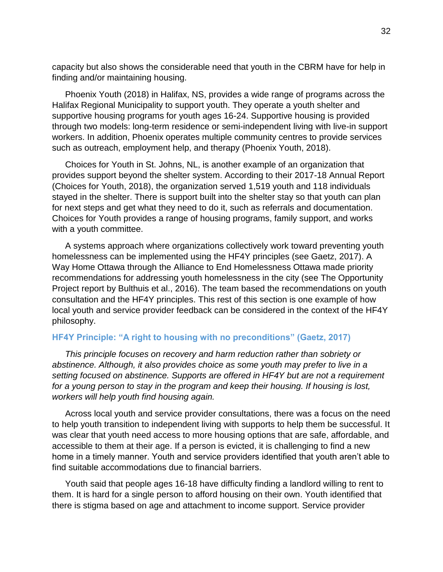capacity but also shows the considerable need that youth in the CBRM have for help in finding and/or maintaining housing.

Phoenix Youth (2018) in Halifax, NS, provides a wide range of programs across the Halifax Regional Municipality to support youth. They operate a youth shelter and supportive housing programs for youth ages 16-24. Supportive housing is provided through two models: long-term residence or semi-independent living with live-in support workers. In addition, Phoenix operates multiple community centres to provide services such as outreach, employment help, and therapy (Phoenix Youth, 2018).

Choices for Youth in St. Johns, NL, is another example of an organization that provides support beyond the shelter system. According to their 2017-18 Annual Report (Choices for Youth, 2018), the organization served 1,519 youth and 118 individuals stayed in the shelter. There is support built into the shelter stay so that youth can plan for next steps and get what they need to do it, such as referrals and documentation. Choices for Youth provides a range of housing programs, family support, and works with a youth committee.

A systems approach where organizations collectively work toward preventing youth homelessness can be implemented using the HF4Y principles (see Gaetz, 2017). A Way Home Ottawa through the Alliance to End Homelessness Ottawa made priority recommendations for addressing youth homelessness in the city (see The Opportunity Project report by Bulthuis et al., 2016). The team based the recommendations on youth consultation and the HF4Y principles. This rest of this section is one example of how local youth and service provider feedback can be considered in the context of the HF4Y philosophy.

#### **HF4Y Principle: "A right to housing with no preconditions" (Gaetz, 2017)**

*This principle focuses on recovery and harm reduction rather than sobriety or abstinence. Although, it also provides choice as some youth may prefer to live in a setting focused on abstinence. Supports are offered in HF4Y but are not a requirement for a young person to stay in the program and keep their housing. If housing is lost, workers will help youth find housing again.*

Across local youth and service provider consultations, there was a focus on the need to help youth transition to independent living with supports to help them be successful. It was clear that youth need access to more housing options that are safe, affordable, and accessible to them at their age. If a person is evicted, it is challenging to find a new home in a timely manner. Youth and service providers identified that youth aren't able to find suitable accommodations due to financial barriers.

Youth said that people ages 16-18 have difficulty finding a landlord willing to rent to them. It is hard for a single person to afford housing on their own. Youth identified that there is stigma based on age and attachment to income support. Service provider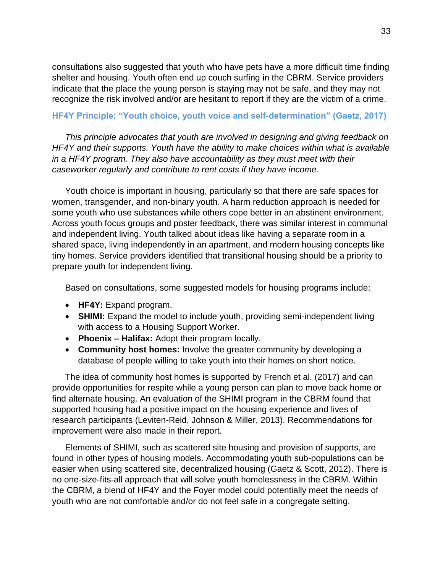consultations also suggested that youth who have pets have a more difficult time finding shelter and housing. Youth often end up couch surfing in the CBRM. Service providers indicate that the place the young person is staying may not be safe, and they may not recognize the risk involved and/or are hesitant to report if they are the victim of a crime.

#### **HF4Y Principle: "Youth choice, youth voice and self-determination" (Gaetz, 2017)**

*This principle advocates that youth are involved in designing and giving feedback on HF4Y and their supports. Youth have the ability to make choices within what is available in a HF4Y program. They also have accountability as they must meet with their caseworker regularly and contribute to rent costs if they have income.*

Youth choice is important in housing, particularly so that there are safe spaces for women, transgender, and non-binary youth. A harm reduction approach is needed for some youth who use substances while others cope better in an abstinent environment. Across youth focus groups and poster feedback, there was similar interest in communal and independent living. Youth talked about ideas like having a separate room in a shared space, living independently in an apartment, and modern housing concepts like tiny homes. Service providers identified that transitional housing should be a priority to prepare youth for independent living.

Based on consultations, some suggested models for housing programs include:

- **HF4Y:** Expand program.
- **SHIMI:** Expand the model to include youth, providing semi-independent living with access to a Housing Support Worker.
- **Phoenix – Halifax:** Adopt their program locally.
- **Community host homes:** Involve the greater community by developing a database of people willing to take youth into their homes on short notice.

The idea of community host homes is supported by French et al. (2017) and can provide opportunities for respite while a young person can plan to move back home or find alternate housing. An evaluation of the SHIMI program in the CBRM found that supported housing had a positive impact on the housing experience and lives of research participants (Leviten-Reid, Johnson & Miller, 2013). Recommendations for improvement were also made in their report.

Elements of SHIMI, such as scattered site housing and provision of supports, are found in other types of housing models. Accommodating youth sub-populations can be easier when using scattered site, decentralized housing (Gaetz & Scott, 2012). There is no one-size-fits-all approach that will solve youth homelessness in the CBRM. Within the CBRM, a blend of HF4Y and the Foyer model could potentially meet the needs of youth who are not comfortable and/or do not feel safe in a congregate setting.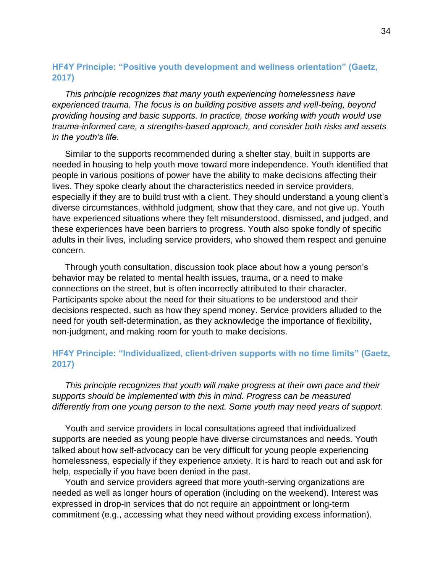#### **HF4Y Principle: "Positive youth development and wellness orientation" (Gaetz, 2017)**

*This principle recognizes that many youth experiencing homelessness have experienced trauma. The focus is on building positive assets and well-being, beyond providing housing and basic supports. In practice, those working with youth would use trauma-informed care, a strengths-based approach, and consider both risks and assets in the youth's life.*

Similar to the supports recommended during a shelter stay, built in supports are needed in housing to help youth move toward more independence. Youth identified that people in various positions of power have the ability to make decisions affecting their lives. They spoke clearly about the characteristics needed in service providers, especially if they are to build trust with a client. They should understand a young client's diverse circumstances, withhold judgment, show that they care, and not give up. Youth have experienced situations where they felt misunderstood, dismissed, and judged, and these experiences have been barriers to progress. Youth also spoke fondly of specific adults in their lives, including service providers, who showed them respect and genuine concern.

Through youth consultation, discussion took place about how a young person's behavior may be related to mental health issues, trauma, or a need to make connections on the street, but is often incorrectly attributed to their character. Participants spoke about the need for their situations to be understood and their decisions respected, such as how they spend money. Service providers alluded to the need for youth self-determination, as they acknowledge the importance of flexibility, non-judgment, and making room for youth to make decisions.

#### **HF4Y Principle: "Individualized, client-driven supports with no time limits" (Gaetz, 2017)**

*This principle recognizes that youth will make progress at their own pace and their supports should be implemented with this in mind. Progress can be measured differently from one young person to the next. Some youth may need years of support.*

Youth and service providers in local consultations agreed that individualized supports are needed as young people have diverse circumstances and needs. Youth talked about how self-advocacy can be very difficult for young people experiencing homelessness, especially if they experience anxiety. It is hard to reach out and ask for help, especially if you have been denied in the past.

Youth and service providers agreed that more youth-serving organizations are needed as well as longer hours of operation (including on the weekend). Interest was expressed in drop-in services that do not require an appointment or long-term commitment (e.g., accessing what they need without providing excess information).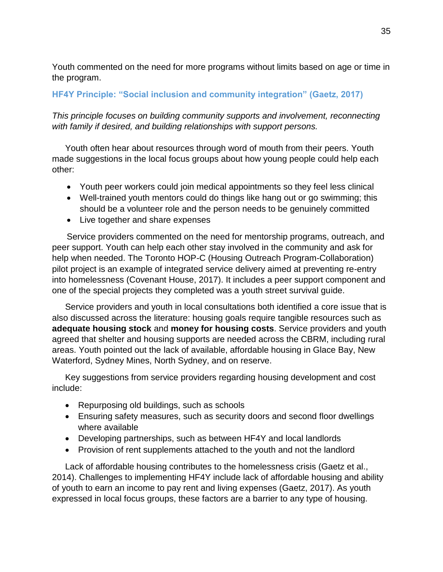Youth commented on the need for more programs without limits based on age or time in the program.

#### **HF4Y Principle: "Social inclusion and community integration" (Gaetz, 2017)**

*This principle focuses on building community supports and involvement, reconnecting with family if desired, and building relationships with support persons.*

Youth often hear about resources through word of mouth from their peers. Youth made suggestions in the local focus groups about how young people could help each other:

- Youth peer workers could join medical appointments so they feel less clinical
- Well-trained youth mentors could do things like hang out or go swimming; this should be a volunteer role and the person needs to be genuinely committed
- Live together and share expenses

Service providers commented on the need for mentorship programs, outreach, and peer support. Youth can help each other stay involved in the community and ask for help when needed. The Toronto HOP-C (Housing Outreach Program-Collaboration) pilot project is an example of integrated service delivery aimed at preventing re-entry into homelessness (Covenant House, 2017). It includes a peer support component and one of the special projects they completed was a youth street survival guide.

Service providers and youth in local consultations both identified a core issue that is also discussed across the literature: housing goals require tangible resources such as **adequate housing stock** and **money for housing costs**. Service providers and youth agreed that shelter and housing supports are needed across the CBRM, including rural areas. Youth pointed out the lack of available, affordable housing in Glace Bay, New Waterford, Sydney Mines, North Sydney, and on reserve.

Key suggestions from service providers regarding housing development and cost include:

- Repurposing old buildings, such as schools
- Ensuring safety measures, such as security doors and second floor dwellings where available
- Developing partnerships, such as between HF4Y and local landlords
- Provision of rent supplements attached to the youth and not the landlord

Lack of affordable housing contributes to the homelessness crisis (Gaetz et al., 2014). Challenges to implementing HF4Y include lack of affordable housing and ability of youth to earn an income to pay rent and living expenses (Gaetz, 2017). As youth expressed in local focus groups, these factors are a barrier to any type of housing.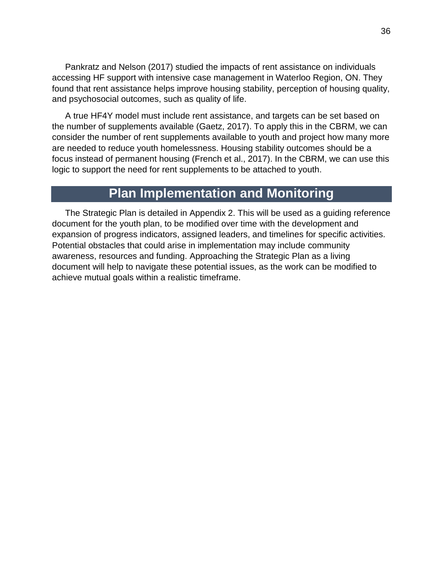Pankratz and Nelson (2017) studied the impacts of rent assistance on individuals accessing HF support with intensive case management in Waterloo Region, ON. They found that rent assistance helps improve housing stability, perception of housing quality, and psychosocial outcomes, such as quality of life.

A true HF4Y model must include rent assistance, and targets can be set based on the number of supplements available (Gaetz, 2017). To apply this in the CBRM, we can consider the number of rent supplements available to youth and project how many more are needed to reduce youth homelessness. Housing stability outcomes should be a focus instead of permanent housing (French et al., 2017). In the CBRM, we can use this logic to support the need for rent supplements to be attached to youth.

### **Plan Implementation and Monitoring**

The Strategic Plan is detailed in Appendix 2. This will be used as a guiding reference document for the youth plan, to be modified over time with the development and expansion of progress indicators, assigned leaders, and timelines for specific activities. Potential obstacles that could arise in implementation may include community awareness, resources and funding. Approaching the Strategic Plan as a living document will help to navigate these potential issues, as the work can be modified to achieve mutual goals within a realistic timeframe.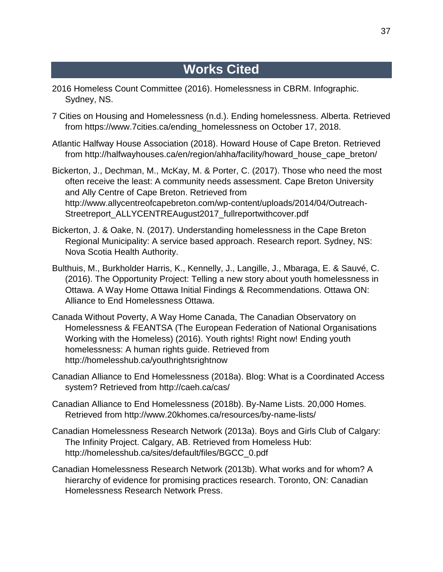### **Works Cited**

- 2016 Homeless Count Committee (2016). Homelessness in CBRM. Infographic. Sydney, NS.
- 7 Cities on Housing and Homelessness (n.d.). Ending homelessness. Alberta. Retrieved from [https://www.7cities.ca/ending\\_homelessness](https://www.7cities.ca/ending_homelessness) on October 17, 2018.
- Atlantic Halfway House Association (2018). Howard House of Cape Breton. Retrieved from [http://halfwayhouses.ca/en/region/ahha/facility/howard\\_house\\_cape\\_breton/](http://halfwayhouses.ca/en/region/ahha/facility/howard_house_cape_breton/)
- Bickerton, J., Dechman, M., McKay, M. & Porter, C. (2017). Those who need the most often receive the least: A community needs assessment. Cape Breton University and Ally Centre of Cape Breton. Retrieved from [http://www.allycentreofcapebreton.com/wp-content/uploads/2014/04/Outreach-](http://www.allycentreofcapebreton.com/wp-content/uploads/2014/04/Outreach-Streetreport_ALLYCENTREAugust2017_fullreportwithcover.pdf)[Streetreport\\_ALLYCENTREAugust2017\\_fullreportwithcover.pdf](http://www.allycentreofcapebreton.com/wp-content/uploads/2014/04/Outreach-Streetreport_ALLYCENTREAugust2017_fullreportwithcover.pdf)
- Bickerton, J. & Oake, N. (2017). Understanding homelessness in the Cape Breton Regional Municipality: A service based approach. Research report. Sydney, NS: Nova Scotia Health Authority.
- Bulthuis, M., Burkholder Harris, K., Kennelly, J., Langille, J., Mbaraga, E. & Sauvé, C. (2016). The Opportunity Project: Telling a new story about youth homelessness in Ottawa. A Way Home Ottawa Initial Findings & Recommendations. Ottawa ON: Alliance to End Homelessness Ottawa.
- Canada Without Poverty, A Way Home Canada, The Canadian Observatory on Homelessness & FEANTSA (The European Federation of National Organisations Working with the Homeless) (2016). Youth rights! Right now! Ending youth homelessness: A human rights guide. Retrieved from <http://homelesshub.ca/youthrightsrightnow>
- Canadian Alliance to End Homelessness (2018a). Blog: What is a Coordinated Access system? Retrieved from <http://caeh.ca/cas/>
- Canadian Alliance to End Homelessness (2018b). By-Name Lists. 20,000 Homes. Retrieved from<http://www.20khomes.ca/resources/by-name-lists/>
- Canadian Homelessness Research Network (2013a). Boys and Girls Club of Calgary: The Infinity Project. Calgary, AB. Retrieved from Homeless Hub: [http://homelesshub.ca/sites/default/files/BGCC\\_0.pdf](http://homelesshub.ca/sites/default/files/BGCC_0.pdf)
- Canadian Homelessness Research Network (2013b). What works and for whom? A hierarchy of evidence for promising practices research. Toronto, ON: Canadian Homelessness Research Network Press.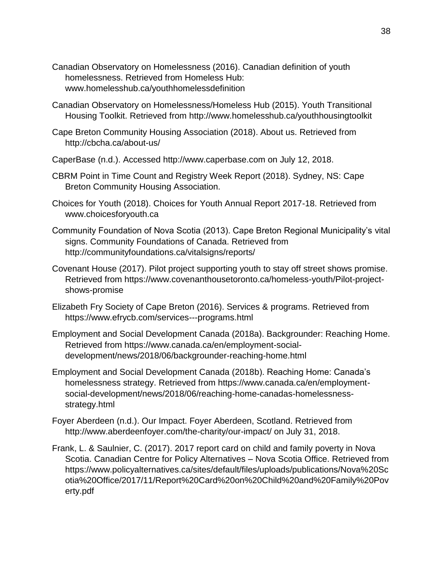- Canadian Observatory on Homelessness (2016). Canadian definition of youth homelessness. Retrieved from Homeless Hub: [www.homelesshub.ca/youthhomelessdefinition](http://www.homelesshub.ca/youthhomelessdefinition)
- Canadian Observatory on Homelessness/Homeless Hub (2015). Youth Transitional Housing Toolkit. Retrieved from<http://www.homelesshub.ca/youthhousingtoolkit>
- Cape Breton Community Housing Association (2018). About us. Retrieved from <http://cbcha.ca/about-us/>
- CaperBase (n.d.). Accessed [http://www.caperbase.com](http://www.caperbase.com/) on July 12, 2018.
- CBRM Point in Time Count and Registry Week Report (2018). Sydney, NS: Cape Breton Community Housing Association.
- Choices for Youth (2018). Choices for Youth Annual Report 2017-18. Retrieved from [www.choicesforyouth.ca](http://www.choicesforyouth.ca/)
- Community Foundation of Nova Scotia (2013). Cape Breton Regional Municipality's vital signs. Community Foundations of Canada. Retrieved from <http://communityfoundations.ca/vitalsigns/reports/>
- Covenant House (2017). Pilot project supporting youth to stay off street shows promise. Retrieved from [https://www.covenanthousetoronto.ca/homeless-youth/Pilot-project](https://www.covenanthousetoronto.ca/homeless-youth/Pilot-project-shows-promise)[shows-promise](https://www.covenanthousetoronto.ca/homeless-youth/Pilot-project-shows-promise)
- Elizabeth Fry Society of Cape Breton (2016). Services & programs. Retrieved from <https://www.efrycb.com/services---programs.html>
- Employment and Social Development Canada (2018a). Backgrounder: Reaching Home. Retrieved from [https://www.canada.ca/en/employment-social](https://www.canada.ca/en/employment-social-development/news/2018/06/backgrounder-reaching-home.html)[development/news/2018/06/backgrounder-reaching-home.html](https://www.canada.ca/en/employment-social-development/news/2018/06/backgrounder-reaching-home.html)
- Employment and Social Development Canada (2018b). Reaching Home: Canada's homelessness strategy. Retrieved from https://www.canada.ca/en/employmentsocial-development/news/2018/06/reaching-home-canadas-homelessnessstrategy.html
- Foyer Aberdeen (n.d.). Our Impact. Foyer Aberdeen, Scotland. Retrieved from http://www.aberdeenfoyer.com/the-charity/our-impact/ on July 31, 2018.
- Frank, L. & Saulnier, C. (2017). 2017 report card on child and family poverty in Nova Scotia. Canadian Centre for Policy Alternatives – Nova Scotia Office. Retrieved from [https://www.policyalternatives.ca/sites/default/files/uploads/publications/Nova%20Sc](https://www.policyalternatives.ca/sites/default/files/uploads/publications/Nova%20Scotia%20Office/2017/11/Report%20Card%20on%20Child%20and%20Family%20Poverty.pdf) [otia%20Office/2017/11/Report%20Card%20on%20Child%20and%20Family%20Pov](https://www.policyalternatives.ca/sites/default/files/uploads/publications/Nova%20Scotia%20Office/2017/11/Report%20Card%20on%20Child%20and%20Family%20Poverty.pdf) [erty.pdf](https://www.policyalternatives.ca/sites/default/files/uploads/publications/Nova%20Scotia%20Office/2017/11/Report%20Card%20on%20Child%20and%20Family%20Poverty.pdf)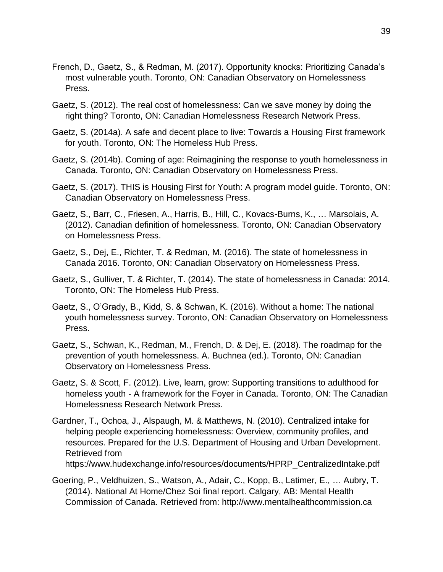- French, D., Gaetz, S., & Redman, M. (2017). Opportunity knocks: Prioritizing Canada's most vulnerable youth. Toronto, ON: Canadian Observatory on Homelessness Press.
- Gaetz, S. (2012). The real cost of homelessness: Can we save money by doing the right thing? Toronto, ON: Canadian Homelessness Research Network Press.
- Gaetz, S. (2014a). A safe and decent place to live: Towards a Housing First framework for youth. Toronto, ON: The Homeless Hub Press.
- Gaetz, S. (2014b). Coming of age: Reimagining the response to youth homelessness in Canada. Toronto, ON: Canadian Observatory on Homelessness Press.
- Gaetz, S. (2017). THIS is Housing First for Youth: A program model guide. Toronto, ON: Canadian Observatory on Homelessness Press.
- Gaetz, S., Barr, C., Friesen, A., Harris, B., Hill, C., Kovacs-Burns, K., … Marsolais, A. (2012). Canadian definition of homelessness. Toronto, ON: Canadian Observatory on Homelessness Press.
- Gaetz, S., Dej, E., Richter, T. & Redman, M. (2016). The state of homelessness in Canada 2016. Toronto, ON: Canadian Observatory on Homelessness Press.
- Gaetz, S., Gulliver, T. & Richter, T. (2014). The state of homelessness in Canada: 2014. Toronto, ON: The Homeless Hub Press.
- Gaetz, S., O'Grady, B., Kidd, S. & Schwan, K. (2016). Without a home: The national youth homelessness survey. Toronto, ON: Canadian Observatory on Homelessness Press.
- Gaetz, S., Schwan, K., Redman, M., French, D. & Dej, E. (2018). The roadmap for the prevention of youth homelessness. A. Buchnea (ed.). Toronto, ON: Canadian Observatory on Homelessness Press.
- Gaetz, S. & Scott, F. (2012). Live, learn, grow: Supporting transitions to adulthood for homeless youth - A framework for the Foyer in Canada. Toronto, ON: The Canadian Homelessness Research Network Press.
- Gardner, T., Ochoa, J., Alspaugh, M. & Matthews, N. (2010). Centralized intake for helping people experiencing homelessness: Overview, community profiles, and resources. Prepared for the U.S. Department of Housing and Urban Development. Retrieved from [https://www.hudexchange.info/resources/documents/HPRP\\_CentralizedIntake.pdf](https://www.hudexchange.info/resources/documents/HPRP_CentralizedIntake.pdf)
- Goering, P., Veldhuizen, S., Watson, A., Adair, C., Kopp, B., Latimer, E., … Aubry, T. (2014). National At Home/Chez Soi final report. Calgary, AB: Mental Health Commission of Canada. Retrieved from: [http://www.mentalhealthcommission.ca](http://www.mentalhealthcommission.ca/)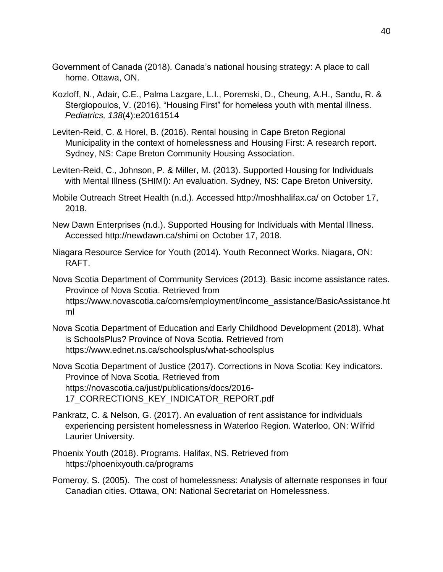- Government of Canada (2018). Canada's national housing strategy: A place to call home. Ottawa, ON.
- Kozloff, N., Adair, C.E., Palma Lazgare, L.I., Poremski, D., Cheung, A.H., Sandu, R. & Stergiopoulos, V. (2016). "Housing First" for homeless youth with mental illness. *Pediatrics, 138*(4):e20161514
- Leviten-Reid, C. & Horel, B. (2016). Rental housing in Cape Breton Regional Municipality in the context of homelessness and Housing First: A research report. Sydney, NS: Cape Breton Community Housing Association.
- Leviten-Reid, C., Johnson, P. & Miller, M. (2013). Supported Housing for Individuals with Mental Illness (SHIMI): An evaluation. Sydney, NS: Cape Breton University.
- Mobile Outreach Street Health (n.d.). Accessed<http://moshhalifax.ca/> on October 17, 2018.
- New Dawn Enterprises (n.d.). Supported Housing for Individuals with Mental Illness. Accessed [http://newdawn.ca/shimi on October 17,](http://newdawn.ca/shimi%20on%20October%2017) 2018.
- Niagara Resource Service for Youth (2014). Youth Reconnect Works. Niagara, ON: RAFT.
- Nova Scotia Department of Community Services (2013). Basic income assistance rates. Province of Nova Scotia. Retrieved from [https://www.novascotia.ca/coms/employment/income\\_assistance/BasicAssistance.ht](https://www.novascotia.ca/coms/employment/income_assistance/BasicAssistance.html) [ml](https://www.novascotia.ca/coms/employment/income_assistance/BasicAssistance.html)
- Nova Scotia Department of Education and Early Childhood Development (2018). What is SchoolsPlus? Province of Nova Scotia. Retrieved from <https://www.ednet.ns.ca/schoolsplus/what-schoolsplus>
- Nova Scotia Department of Justice (2017). Corrections in Nova Scotia: Key indicators. Province of Nova Scotia. Retrieved from [https://novascotia.ca/just/publications/docs/2016-](https://novascotia.ca/just/publications/docs/2016-17_CORRECTIONS_KEY_INDICATOR_REPORT.pdf) [17\\_CORRECTIONS\\_KEY\\_INDICATOR\\_REPORT.pdf](https://novascotia.ca/just/publications/docs/2016-17_CORRECTIONS_KEY_INDICATOR_REPORT.pdf)
- Pankratz, C. & Nelson, G. (2017). An evaluation of rent assistance for individuals experiencing persistent homelessness in Waterloo Region. Waterloo, ON: Wilfrid Laurier University.
- Phoenix Youth (2018). Programs. Halifax, NS. Retrieved from <https://phoenixyouth.ca/programs>
- Pomeroy, S. (2005). The cost of homelessness: Analysis of alternate responses in four Canadian cities. Ottawa, ON: National Secretariat on Homelessness.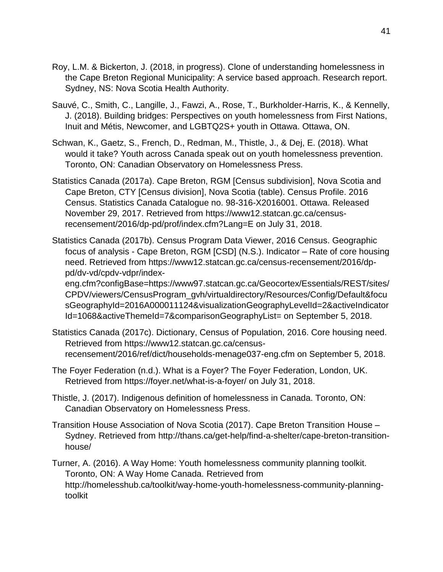- Roy, L.M. & Bickerton, J. (2018, in progress). Clone of understanding homelessness in the Cape Breton Regional Municipality: A service based approach. Research report. Sydney, NS: Nova Scotia Health Authority.
- Sauvé, C., Smith, C., Langille, J., Fawzi, A., Rose, T., Burkholder-Harris, K., & Kennelly, J. (2018). Building bridges: Perspectives on youth homelessness from First Nations, Inuit and Métis, Newcomer, and LGBTQ2S+ youth in Ottawa. Ottawa, ON.
- Schwan, K., Gaetz, S., French, D., Redman, M., Thistle, J., & Dej, E. (2018). What would it take? Youth across Canada speak out on youth homelessness prevention. Toronto, ON: Canadian Observatory on Homelessness Press.
- Statistics Canada (2017a). Cape Breton, RGM [Census subdivision], Nova Scotia and Cape Breton, CTY [Census division], Nova Scotia (table). Census Profile. 2016 Census. Statistics Canada Catalogue no. 98-316-X2016001. Ottawa. Released November 29, 2017. Retrieved from https://www12.statcan.gc.ca/censusrecensement/2016/dp-pd/prof/index.cfm?Lang=E on July 31, 2018.
- Statistics Canada (2017b). Census Program Data Viewer, 2016 Census. Geographic focus of analysis - Cape Breton, RGM [CSD] (N.S.). Indicator – Rate of core housing need. Retrieved from https://www12.statcan.gc.ca/census-recensement/2016/dppd/dv-vd/cpdv-vdpr/index-

eng.cfm?configBase=https://www97.statcan.gc.ca/Geocortex/Essentials/REST/sites/ CPDV/viewers/CensusProgram\_gvh/virtualdirectory/Resources/Config/Default&focu sGeographyId=2016A000011124&visualizationGeographyLevelId=2&activeIndicator Id=1068&activeThemeId=7&comparisonGeographyList= on September 5, 2018.

- Statistics Canada (2017c). Dictionary, Census of Population, 2016. Core housing need. Retrieved from https://www12.statcan.gc.ca/censusrecensement/2016/ref/dict/households-menage037-eng.cfm on September 5, 2018.
- The Foyer Federation (n.d.). What is a Foyer? The Foyer Federation, London, UK. Retrieved from <https://foyer.net/what-is-a-foyer/> on July 31, 2018.
- Thistle, J. (2017). Indigenous definition of homelessness in Canada. Toronto, ON: Canadian Observatory on Homelessness Press.
- Transition House Association of Nova Scotia (2017). Cape Breton Transition House Sydney. Retrieved from [http://thans.ca/get-help/find-a-shelter/cape-breton-transition](http://thans.ca/get-help/find-a-shelter/cape-breton-transition-house/)[house/](http://thans.ca/get-help/find-a-shelter/cape-breton-transition-house/)

Turner, A. (2016). A Way Home: Youth homelessness community planning toolkit. Toronto, ON: A Way Home Canada. Retrieved from [http://homelesshub.ca/toolkit/way-home-youth-homelessness-community-planning](http://homelesshub.ca/toolkit/way-home-youth-homelessness-community-planning-toolkit)[toolkit](http://homelesshub.ca/toolkit/way-home-youth-homelessness-community-planning-toolkit)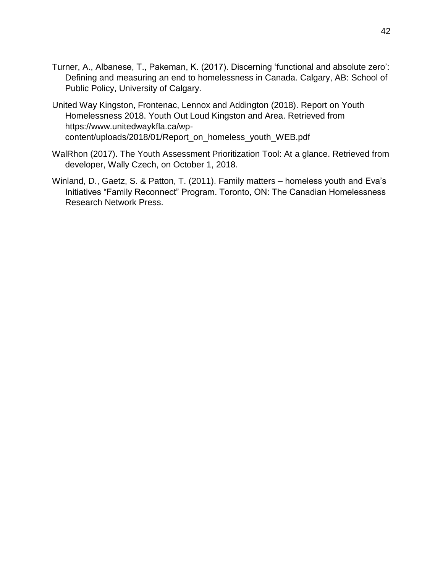- Turner, A., Albanese, T., Pakeman, K. (2017). Discerning 'functional and absolute zero': Defining and measuring an end to homelessness in Canada. Calgary, AB: School of Public Policy, University of Calgary.
- United Way Kingston, Frontenac, Lennox and Addington (2018). Report on Youth Homelessness 2018. Youth Out Loud Kingston and Area. Retrieved from [https://www.unitedwaykfla.ca/wp](https://www.unitedwaykfla.ca/wp-content/uploads/2018/01/Report_on_homeless_youth_WEB.pdf)[content/uploads/2018/01/Report\\_on\\_homeless\\_youth\\_WEB.pdf](https://www.unitedwaykfla.ca/wp-content/uploads/2018/01/Report_on_homeless_youth_WEB.pdf)
- WalRhon (2017). The Youth Assessment Prioritization Tool: At a glance. Retrieved from developer, Wally Czech, on October 1, 2018.
- Winland, D., Gaetz, S. & Patton, T. (2011). Family matters homeless youth and Eva's Initiatives "Family Reconnect" Program. Toronto, ON: The Canadian Homelessness Research Network Press.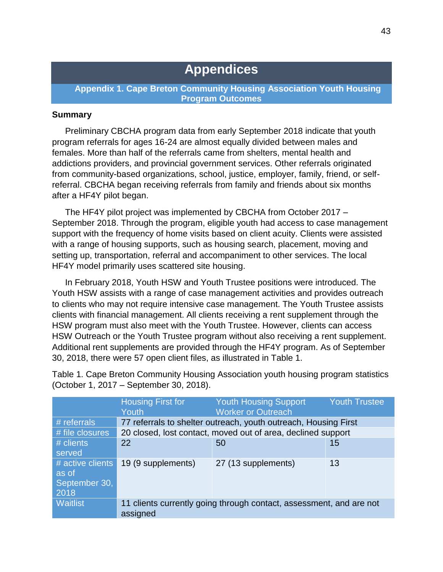### **Appendices**

**Appendix 1. Cape Breton Community Housing Association Youth Housing Program Outcomes**

#### **Summary**

Preliminary CBCHA program data from early September 2018 indicate that youth program referrals for ages 16-24 are almost equally divided between males and females. More than half of the referrals came from shelters, mental health and addictions providers, and provincial government services. Other referrals originated from community-based organizations, school, justice, employer, family, friend, or selfreferral. CBCHA began receiving referrals from family and friends about six months after a HF4Y pilot began.

The HF4Y pilot project was implemented by CBCHA from October 2017 – September 2018. Through the program, eligible youth had access to case management support with the frequency of home visits based on client acuity. Clients were assisted with a range of housing supports, such as housing search, placement, moving and setting up, transportation, referral and accompaniment to other services. The local HF4Y model primarily uses scattered site housing.

In February 2018, Youth HSW and Youth Trustee positions were introduced. The Youth HSW assists with a range of case management activities and provides outreach to clients who may not require intensive case management. The Youth Trustee assists clients with financial management. All clients receiving a rent supplement through the HSW program must also meet with the Youth Trustee. However, clients can access HSW Outreach or the Youth Trustee program without also receiving a rent supplement. Additional rent supplements are provided through the HF4Y program. As of September 30, 2018, there were 57 open client files, as illustrated in Table 1.

|                                                    | <b>Housing First for</b><br>Youth                                               | <b>Youth Housing Support</b><br><b>Worker or Outreach</b> | <b>Youth Trustee</b> |
|----------------------------------------------------|---------------------------------------------------------------------------------|-----------------------------------------------------------|----------------------|
| # referrals                                        | 77 referrals to shelter outreach, youth outreach, Housing First                 |                                                           |                      |
| # file closures                                    | 20 closed, lost contact, moved out of area, declined support                    |                                                           |                      |
| # clients<br>served                                | 22                                                                              | 50                                                        | 15                   |
| # active clients<br>as of<br>September 30,<br>2018 | 19 (9 supplements)                                                              | 27 (13 supplements)                                       | 13                   |
| <b>Waitlist</b>                                    | 11 clients currently going through contact, assessment, and are not<br>assigned |                                                           |                      |

Table 1. Cape Breton Community Housing Association youth housing program statistics (October 1, 2017 – September 30, 2018).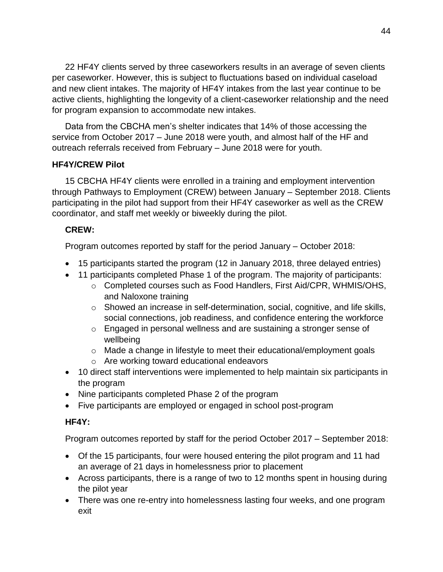22 HF4Y clients served by three caseworkers results in an average of seven clients per caseworker. However, this is subject to fluctuations based on individual caseload and new client intakes. The majority of HF4Y intakes from the last year continue to be active clients, highlighting the longevity of a client-caseworker relationship and the need for program expansion to accommodate new intakes.

Data from the CBCHA men's shelter indicates that 14% of those accessing the service from October 2017 – June 2018 were youth, and almost half of the HF and outreach referrals received from February – June 2018 were for youth.

#### **HF4Y/CREW Pilot**

15 CBCHA HF4Y clients were enrolled in a training and employment intervention through Pathways to Employment (CREW) between January – September 2018. Clients participating in the pilot had support from their HF4Y caseworker as well as the CREW coordinator, and staff met weekly or biweekly during the pilot.

#### **CREW:**

Program outcomes reported by staff for the period January – October 2018:

- 15 participants started the program (12 in January 2018, three delayed entries)
- 11 participants completed Phase 1 of the program. The majority of participants:
	- o Completed courses such as Food Handlers, First Aid/CPR, WHMIS/OHS, and Naloxone training
	- $\circ$  Showed an increase in self-determination, social, cognitive, and life skills, social connections, job readiness, and confidence entering the workforce
	- o Engaged in personal wellness and are sustaining a stronger sense of wellbeing
	- $\circ$  Made a change in lifestyle to meet their educational/employment goals
	- o Are working toward educational endeavors
- 10 direct staff interventions were implemented to help maintain six participants in the program
- Nine participants completed Phase 2 of the program
- Five participants are employed or engaged in school post-program

#### **HF4Y:**

Program outcomes reported by staff for the period October 2017 – September 2018:

- Of the 15 participants, four were housed entering the pilot program and 11 had an average of 21 days in homelessness prior to placement
- Across participants, there is a range of two to 12 months spent in housing during the pilot year
- There was one re-entry into homelessness lasting four weeks, and one program exit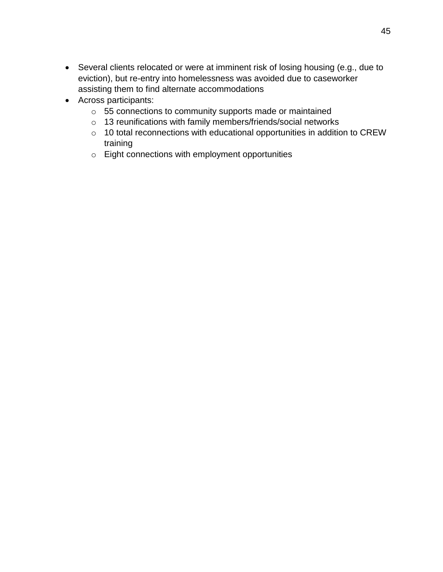- Several clients relocated or were at imminent risk of losing housing (e.g., due to eviction), but re-entry into homelessness was avoided due to caseworker assisting them to find alternate accommodations
- Across participants:
	- o 55 connections to community supports made or maintained
	- o 13 reunifications with family members/friends/social networks
	- o 10 total reconnections with educational opportunities in addition to CREW training
	- o Eight connections with employment opportunities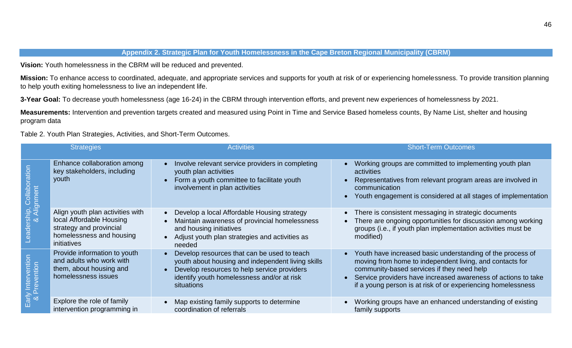#### **Appendix 2. Strategic Plan for Youth Homelessness in the Cape Breton Regional Municipality (CBRM)**

**Vision:** Youth homelessness in the CBRM will be reduced and prevented.

**Mission:** To enhance access to coordinated, adequate, and appropriate services and supports for youth at risk of or experiencing homelessness. To provide transition planning to help youth exiting homelessness to live an independent life.

**3-Year Goal:** To decrease youth homelessness (age 16-24) in the CBRM through intervention efforts, and prevent new experiences of homelessness by 2021.

**Measurements:** Intervention and prevention targets created and measured using Point in Time and Service Based homeless counts, By Name List, shelter and housing program data

Table 2. Youth Plan Strategies, Activities, and Short-Term Outcomes.

|                                               | <b>Strategies</b>                                                                                                                  | <b>Activities</b>                                                                                                                                                                                           | <b>Short-Term Outcomes</b>                                                                                                                                                                                                                                                                                         |
|-----------------------------------------------|------------------------------------------------------------------------------------------------------------------------------------|-------------------------------------------------------------------------------------------------------------------------------------------------------------------------------------------------------------|--------------------------------------------------------------------------------------------------------------------------------------------------------------------------------------------------------------------------------------------------------------------------------------------------------------------|
| $\overline{\text{{\sf o}}}$ $\propto$<br>eade | Enhance collaboration among<br>key stakeholders, including<br>youth                                                                | • Involve relevant service providers in completing<br>youth plan activities<br>Form a youth committee to facilitate youth<br>involvement in plan activities                                                 | Working groups are committed to implementing youth plan<br>activities<br>Representatives from relevant program areas are involved in<br>communication<br>Youth engagement is considered at all stages of implementation                                                                                            |
|                                               | Align youth plan activities with<br>local Affordable Housing<br>strategy and provincial<br>homelessness and housing<br>initiatives | • Develop a local Affordable Housing strategy<br>Maintain awareness of provincial homelessness<br>and housing initiatives<br>• Adjust youth plan strategies and activities as<br>needed                     | There is consistent messaging in strategic documents<br>$\bullet$<br>There are ongoing opportunities for discussion among working<br>$\bullet$<br>groups (i.e., if youth plan implementation activities must be<br>modified)                                                                                       |
| 5<br>၁<br>ention<br>$\sigma$                  | Provide information to youth<br>and adults who work with<br>them, about housing and<br>homelessness issues                         | Develop resources that can be used to teach<br>youth about housing and independent living skills<br>Develop resources to help service providers<br>identify youth homelessness and/or at risk<br>situations | Youth have increased basic understanding of the process of<br>$\bullet$<br>moving from home to independent living, and contacts for<br>community-based services if they need help<br>Service providers have increased awareness of actions to take<br>if a young person is at risk of or experiencing homelessness |
|                                               | Explore the role of family<br>intervention programming in                                                                          | Map existing family supports to determine<br>coordination of referrals                                                                                                                                      | Working groups have an enhanced understanding of existing<br>family supports                                                                                                                                                                                                                                       |